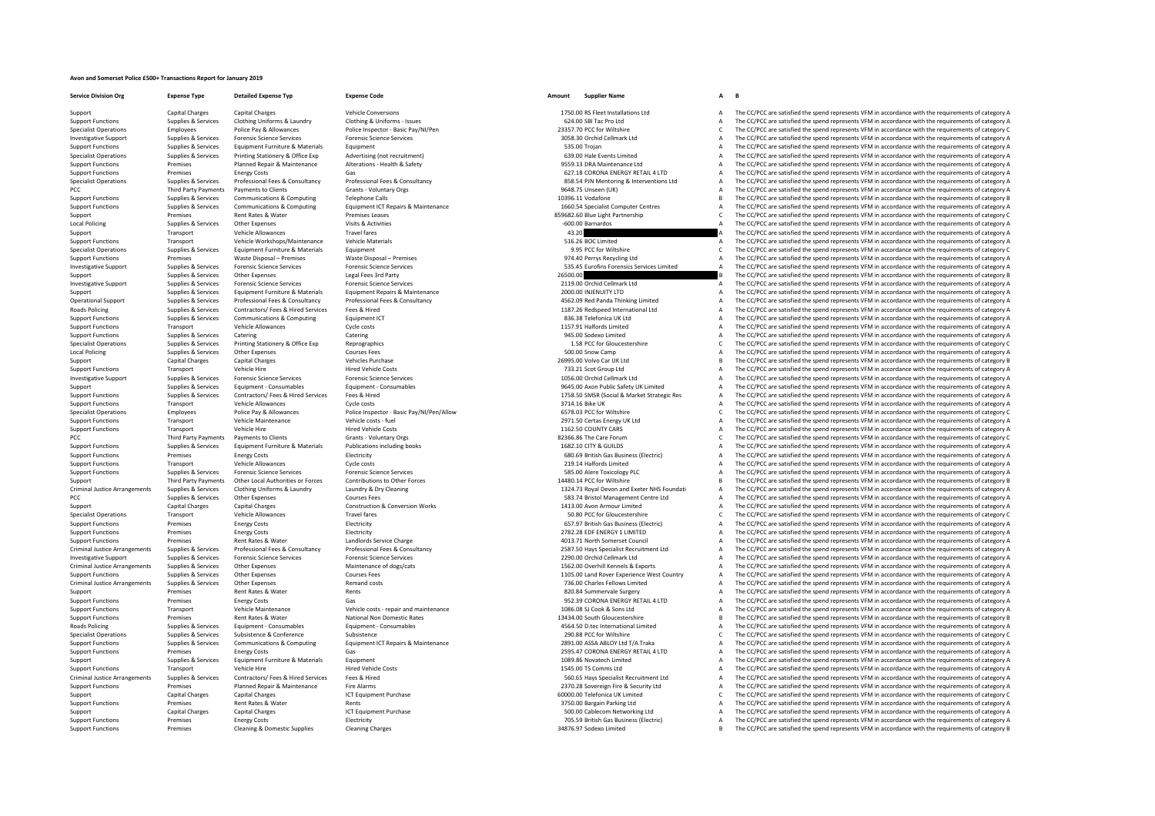## **Avon and Somerset Police £500+ Transactions Report for January 2019**

**Service Division Org Expense Type Detailed Expense Typ Expense Code Amount Supplier Name A B** Support Capital Charges Capital Charges Scanial Charges Vehicle Conversions Vehicle Conversions 1750.00 RS Fleet Installations Ltd A The CC/PCC are satisfied the spend represents VFM in accordance with the requirements of

Support Functions Supplies & Services Clothing Uniforms & Laundry Clothing & Uniforms – Issues Clothing & Uniforms – Issues Clothing A Uniforms – Issues 624.00 SBI Tac Pro Ltd A The CC/PCC are satisfied the spend represent Specialist Operations Employees Police Pay Allowances Police Inspector - Basic Pay/NI/Pen 23357.70 PCC for Wiltshire C The CC/PCC are satisfied the spend represents VFM in accordance with the requirements of category C Sup Investigative Support Supplies & Services Forensic Science Services Forensic Science Services Forensic Science Services Forensic Science Services and the companical and the CC/PCC are satisfied the spend represents VFM in Support Functions Supplies According to the Supplies of the Supplies of the Supplies Equipment Functions Control of the Supplies A The CC/PCC are satisfied the spend represents VFM in accordance with the requirements of ca Specialist Operations Supplies & Services Printing Stationery & Office Exp Advertising (not recruitment) and the COMPOS CHO COMPOST CHOROCALLY A The CC/PCC are satisfied the spend represents VFM in accordance with the requ Support Functions Premises Planned Repair & Maintenance Alterations - Health & Safety 9559.13 DRA Maintenance Ltd A The CC/PCC are satisfied the spend represents VFM in accordance with the requirements of category A The Cr Support Functions Premises Functions Energy Costs Gas 627.18 CORONA ENERGY RETAIL 4 LTD A The CC/PCC are satisfied the spend represents VFM in accordance with the requirements of category A Specialist Operations Supplies & Services Professional Fees & Consultancy Professional Fees & Consultancy Consultancy exacts are the CONSUS and the CONSUS and the CONSUS and the CONSUS and the CONSUS and the CONSUS of the PCC Third Party Payments Payments Octants Grants Conduction Crants Voluntary Orgs Grants - Voluntary Orgs 9648.75 Unseen (UK) A The CC/PCC are satisfied the spend represents VFM in accordance with the requirements of categ Support Functions Supplies & Services Communications & Computing Telephone Calls Telephone Calls 10396.11 Vodafone 10396.11 Vodafone B The CC/PCC are satisfied the spend represents VFM in accordance with the requirements o Communications & Computing Computer Centers Fequipment ICT Repairs & Maintenance Maintenance Computer Centers of the CC/PCC are satisfied the spend represents VFM in accordance with the requirements of category A<br>Premises Support Premises Rent Rates & Water Premises Leases Premises Leases Rent Rates & Water Premises Leases Premises Leases Premises Leases and Decomption and the category C The CC/PCC are satisfied the spend represents VFM in Other Expenses Visits & Activities visits and the company of the CC/PCC are satisfied the spend represents VFM in accordance with the requirements of category A The CC/PCC are satisfied the spend represents VFM in accord Support Transport Vehicle Allowances Travel fares Travel fares and Travel fares and the CONCOMERCON CONCERT A The CC/PCC are satisfied the spend represents VFM in accordance with the requirements of category A The CONCOMER Support Functions Transport Vehicle Workshops/Maintenance Vehicle Materials vehicle Materials 516.26 BOC Limited A The CC/PCC are satisfied the spend represents VFM in accordance with the requirements of category A The Cri Specialist Operations Supplies & Services Equipment Furniture & Materials Equipment Equipment Equipment equipment equipment equipment equipment equipment expend represents are equipment of category C are satisfied the spen Premises Waste Disposal – Premises Waste Disposal – Premises Waste Disposal – Premises Waste Disposal – Premises Premises Premises Premises Premises Premises Premises A The CC/PCC are satisfied the spend represents VFM in Investigative Support Supplies & Services Forensic Science Services Forensic Science Services Forensic Science Services Forensic Science Services and the CONCOMERS Services Services Services Services Support Support Suppor Support Supplies & Services Other Expenses Legal Fees 3rd Party 2013 and 2013 and 2013 and 2013 and 2013 and 2013 and 2013 and 2013 and 2013 and 2013 and 2013 and 2013 and 2013 and 2013 and 2013 and 2013 and 2013 and 2013 Investigative Support Support Support Support Services Forensic Services Forensic Services Cellege, Political<br>The CC/PCC are satisfied the spend represents VFM in accordance with the requirements of category A Support Supplies & Services Equipment Furniture & Materials Equipment Repairs & Maintenance 2000.00 INJENUITY LTD A The CC/PCC are satisfied the spend represents VFM in accordance with the requirements of category A Chroni Operational Support Supplies & Services Professional Fees & Consultancy Professional Fees & Consultancy Professional Fees & Consultancy and the COLOREC SECTION CONSULTATION CONSULTATION OF THE CONCORRECT ARE SERVICE ON THE Roads Policing Supplies A Service Contractors Fees Attack The Services Fees And The CC/PCC are satisfied the spend represents VFM in accordance with the requirements of category A The CC/PCC are satisfied the spend represe Support Functions Supplies & Services Communications & Computing Equipment ICT examples are computing Equipment ICT and the computing Equipment ICT and the computing and the computing Equipment ICT and the computing and th Support Functions Transport Cycle Costs Cycle costs Cycle costs Cycle Costs 1157.91 Halfords Limited A The CC/PCC are satisfied the spend represents VFM in accordance with the requirements of category A Catering Category A Catering Catering Catering Catering Catering Catering Catering Catering Catering Catering Catering Catering Catering Catering Catering Catering Catering Catering Catering Catering Catering Catering Catering Catering Cateri Specialist Operations Supplies & Services Printing Stationery & Office Exp Reprographics 1.58 PCC for Gloucestershire C The CC/PCC are satisfied the spend represents VFM in accordance with the requirements of category C Th Local Policing Supplies Services Other Expenses Courses Fees 500.00 Snow Camp A The CC/PCC are satisfied the spend represents VFM in accordance with the requirements of category A The CC/PCC are satisfied the spend represe Support Capital Charges Capital Charges Vehicles Purchase 26995.00 Volvo Car UK Ltd B The CC/PCC are satisfied the spend represents VFM in accordance with the requirements of category B The CC/PCC are satisfied the spend r Support Functions Transport Critical Vehicle Hire Hired Vehicle Costs Hired Vehicle Costs Protections A The CC/PCC are satisfied the spend represents VFM in accordance with the requirements of category A The CL/PCC are sat Investigative Support Supplies & Services Forensic Science Services Forensic Science Services Forensic Science Services Forensic Science Services Forensic Science Services Forensic Science Services and the CONSCORT CHANN L Support Support Support Support Consument Consument Consument Consument Consument Consument Consument Public S<br>1999 - Support Support Support A The CC/PCC are satisfied the spend represents VFM in accordance with the requi Supplies & Services Contractors/Fees & Hired Prices (1994) and the CONCERT CONTECT CONTECT CONTECT CONTECT CONTECT A THE CONTECT A THE CONTECT ARE SUPPLIES AND DESCRIPTION OF THE CONTECT AND THE CONTECT AND A THE CONTECT A Support Transport Vehicle Allowances Cycle costs 374.16 Bike UK A The CC/PCC are satisfied the spend represents VFM in accordance with the requirements of category A The CC/PCC are assisted the spend represents VFM in acco Specialist Operations Employees Police Pay & Allowances Police Inspector - Basic Pay/NI/Pen/Allow<br>
Support Functions Transport Vehicle Maintenance Vehicle costs - fuel vehicle costs - fuel vehicle costs - fuel<br>
Support Fun Support Functions Transport Vehicle Maintenance Vehicle costs - fuel Vehicle costs -fuel 2971.50 Certas Energy UK Ltd A The CC/PCC are satisfied the spend represents VFM in accordance with the requirements of category A Th Support Functions Transport Vehicle Hire Members Hired Vehicle Costs Hired Vehicle Costs Hired Vehicle Costs 1162.50 COUNTY CARS A The CC/PCC are satisfied the spend represents VFM in accordance with the requirements of ca PCC The CC/PCC are satisfied the spend represents VFM in accordance with the requirements of category C The CC/PCC are satisfied the spend represents VFM in accordance with the requirements of category C  $\Delta$  The CC/PCC a Support Functions Supplies & Services Equipment Furniture & Materials Publications including books 1682.10 CITY & GUILDS 1682.10 CITY & GUILDS A The CC/PCC are satisfied the spend represents VFM in accordance with the requ Support Functions Premises Energy Costs Electricity Electricity Electricity Electricity and the control and the control of the CC/PCC are satisfied the spend represents VFM in accordance with the requirements of category A Transport Vehicle Allowances Cycle costs 219.14 Halfords Limited 219.14 Halfords Limited A The CC/PCC are satisfied the spend represents VFM in accordance with the requirements of category A Support Functions Supplies & Services Forensic Science Services Forensic Science Services Forensic Science Services Support Functions of the CC/PCC are satisfied the spend represents VFM in accordance with the requirements Support Third Party Payments Other Local Authorities or Forces Contributions to Other Forces 14480.14 PCC for Wiltshire 14480.14 PCC for Wiltshire B The CC/PCC are satisfied the spend represents VFM in accordance with the Supplies & Services Clothing Uniforms & Laundry Marchan Laundry & Dry Cleaning Marchan Supplies (1924.73 Royal Devon and Exeter NHS Foundati A The CC/PCC are satisfied the spend represents VFM in accordance with the requir PCC PCC Supplies A Services Other Expenses Courses Fees Courses Fees Courses Fees Servicion & Courses Fees Servicion & Conversion Works and the Services Other Dealth and the CC/PCC are satisfied the spend represents VFM in Support Capital Charges Capital Charges Capital Charges Construction & Conversion Works 1413.00 Avon Armour Limited A The CC/PCC are satisfied the spend represents VFM in accordance with the requirements of category A Spec Travel fares Travel fares Travel fares Travel fares Travel fares and the CONCE of Gloucestershire C The CC/PCC are satisfied the spend represents VFM in accordance with the requirements of category C The CC/PCC are satisfi Support Functions Premises Energy Costs Electricity Electricity Electricity Electricity and a Support Electricity and the spend represents VFM in accordance with the requirements of category A The CC/PCC are satisfied the Support Functions Premises Energy Costs Electricity Electricity Electricity Electricity Electricity A The CC/PCC are satisfied the spend represents VFM in accordance with the requirements of category A Support Functions an Premises Rent Rates & Water Landlords Service Charge 4013.71 North Somerset Council A The CC/PCC are satisfied the spend represents VFM in accordance with the requirements of category A Criminal Justice Arrangements Supplies & Services Professional Fees & Consultancy Professional Fees & Consultancy Professional Fees & Consultancy Professional Fees & Consultancy exponent to the CONSULTANCE 2587.50 Havs Spe Investigative Support Supplies & Services Forensic Science Services Forensic Science Services Forensic Science Services Forensic Science Services Protects Celence of the control of the control of the COPCC are satisfied th The CC/PCC are satisfied the spend represents VFM in accordance with the requirements of category A Support Functions Supplies & Services Other Expenses Courses Fees 1105.00 Land Rover Experience West Country A The CC/PCC are satisfied the spend represents VFM in accordance with the requirements of category A Criminal Justice Arrangements Supplies Services Other Expenses Remand costs Remand costs Remand costs Remand costs Remand costs a The CC/PC are satisfied the spend represents VFM in accordance with the requirements of cate Support Premises Rent Rates & Water Rents 820.84 Summervale Surgery <sup>A</sup> The CC/PCC are satisfied the spend represents VFM in accordance with the requirements of category A Support Functions Premises Energy Costs Gas Gas Gas and Costs Gas 952.39 CORONA ENERGY RETAIL 4 LTD A The CC/PCC are satisfied the spend represents VFM in accordance with the requirements of category A Support Functions a Support Functions Transport Vehicle Maintenance Vehicle costs - repair and maintenance Vehicle costs - repair and maintenance and the Second Market Adventure of the CC/PCC are satisfied the spend represents VFM in accordan Premises Rent Rates & Water Mational Non Domestic Rates 13434.00 South Gloucestershire 13434.00 South Gloucestershire B The CC/PCC are satisfied the spend represents VFM in accordance with the requirements of category B Roads Policing Supplies & Services Equipment - Consumables Equipment - Consumables Equipment - Consumables Equipment - Consumables A The CC/PCC are satisfied the spend represents VFM in accordance with the requirements of Specialist Operations Subsistence & Subsistence Are a Subsistence Are a CONFerence Subsistence 290.88 PCC/PCC are advertist Conference and the requirements of category C The CC/PCC are advertisted the spend represents VFM Supplies & Services Communications & Computing Equipment ICT Repairs & Maintenance 2891.00 ASSA ABLOY Ltd T/A Traka Anne CO/PCC are satisfied the spend represents VFM in accordance with the requirements of category A Conse Support Functions Premises Energy Costs Gas Coronact Gas 2595.47 CORONA ENERGY RETAIL 4 LTD A The CC/PCC are satisfied the spend represents VFM in accordance with the requirements of category A Supplies & Services Equipmen Support Support Supplies & Services Equipment Furniture & Materials Equipment Equipment Equipment A The CONCC are satisfied the spend represents VFM in accordance with the requirements of category A The CONCC are satisfied Support Functions Transport Transport Transport Transport Transport Vehicle Hire A The CC/PCC are satisfied the spend represents VFM in accordance with the requirements of category A The CC/PCC are satisfied the spend repr Criminal Justice Arrangements Supplies & Services Contractors/ Fees & Hired Services Fees & Hired Mired Mired Criminal Services Services Fees & Hired Mired Mired Mired Mired Services Services Services Fees & Hired Mired Mi Support Functions Premises Planned Repair & Maintenance Fire Alarms Fire Alarms 2370.28 Sovereign Fire & Security Ltd A The CC/PCC are satisfied the spend represents VFM in accordance with the requirements of category A Su Support Capital Charges Capital Charges Capital Charges ICT Equipment Purchase ICT Equipment Purchase 6000.00 Telefonica UK Limited C The CC/PCC are satisfied the spend represents VFM in accordance with the requirements of Examples Rent Rates & Water Rents Rents Rents Rents Rents Rents Rents Rents Rents Rents Rent Rents Rent Rents A The CC/PCC are satisfied the spend represents VFM in accordance with the requirements of category A The CC/PCC Support Capital Charges Capital Charges Capital Charges Support Purchase ICT Equipment Purchase Support Capital Charges Support Capital Charges Capital Charges Capital Charges ICT Equipment Purchase 500.00 Cablecom Network Support Functions Premises Premises Energy Costs Business Electricity Electricity 705.59 British Gas Business (Electric) A The CC/PCC are satisfied the spend represents VFM in accordance with the requirements of category B The CC/PCC are satisfied the spend represents VFM in accordance with the requirements of category B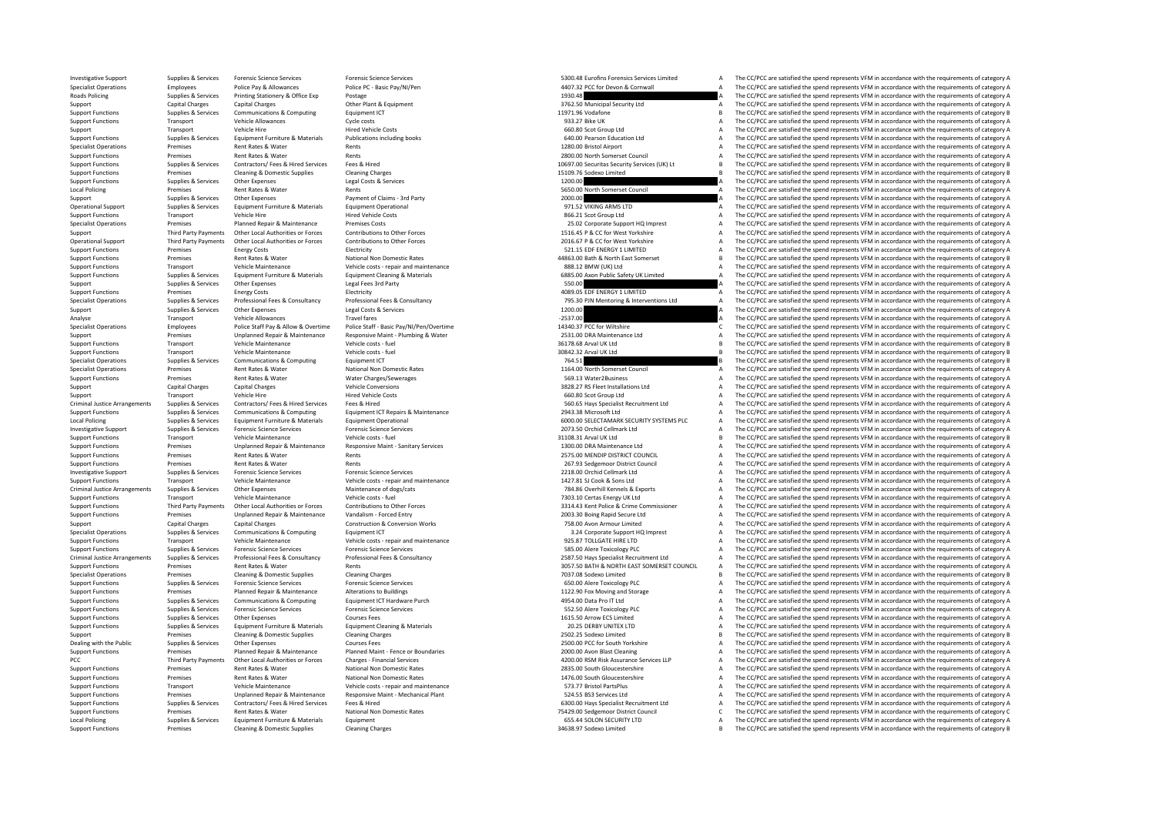Investigative Support Supplies & Services Forensic Science Services Forensic Science Services Forensic Science Services Forensic Science Services and the CONCC are satisfied the spend represents VFM in accordance with the Specialist Operations Employees Police Pay & Allowances Police PC - Basic Pay/NI/Pen 4407.32 PCC for Devon & Cornwall A The CC/PCC are satisfied the spend represents VFM in accordance with the requirements of category A Th Roads Policing Services Printing Services Printing Supplies A The CC/PCC are satisfied the spend represents VFM in accordance with the requirements of category A The CC/PCC are satisfied the spend represents VFM in accorda Support Capital Charges Capital Charges Charges Capital Charges Other Plant & Equipment 3762.50 Municipal Security Ltd A The CC/PCC are satisfied the spend represents VFM in accordance with the requirements of category A Support Functions Support Communications & Communications & Communications Equipment ICT 11971.96 Vodafone B The CC/PCC are satisfied the spend represents VFM in accordance with the requirements of category B Support Functions Transport Vehicle Allowances Cycle costs Cycle costs 933.27 Bike UK A The CC/PCC are satisfied the spend represents VFM in accordance with the requirements of category A Support Transport Vehicle Hire Mired Vehicle Costs Hired Vehicle Costs and A The CC/PCC are satisfied the spend represents VFM in accordance with the requirements of category A Exampled Supplies & Services Equipment Furniture & Materials Publications including books of the COMENT COMENT COMENT A The CC/PCC are satisfied the spend represents VFM in accordance with the requirements of category A an The CC/PCC are satisfied the spend represents VFM in accordance with the requirements of category A Support Functions Premises Rent Rates & Water Rents 2800.00 North Somerset Council <sup>A</sup> The CC/PCC are satisfied the spend represents VFM in accordance with the requirements of category A Exampled the Supplies & Services Contractors/Fees & Hired Free & Hired Fees & Hired Press (1999) and the Security Services (CM) Lt B The CC/PCC are satisfied the spend represents VFM in accordance with the requirements of Support Functions Premises Cleaning & Domestic Supplies Cleaning Charges 15109.76 Sodexo Limited B The CC/PCC are satisfied the spend represents VFM in accordance with the requirements of category B Supplies Services Other Expenses Legal Costs & Services 1200.00 1200.00 A The CC/PCC are satisfied the spend represents VFM in accordance with the requirements of category A Local Policing Premises Rent Rates & Water Rents Rents Rents Rents Rents Rents Rents Rents Rents Rents Rents Rents Rents A The CC/PCC are satisfied the spend represents VFM in accordance with the requirements of category A Support Support Other Expenses Payment of Claims – 3rd Party 2000.00 2000.00 2000.00 2000.00 2000.00 2000.00 2000 2000 2000 2000 2000 2000 2000 2000 2000 2000 2000 2000 2000 2000 2000 2000 2000 2000 2000 2000 2000 2000 200 Operational Support Supplies & Services Equipment Furniture & Materials Equipment Operational Purincular Content<br>
Support Functions Supplies are vehicle Hire Materials Pured Vehicle Costs Hired Vehicle Costs Hired Vehicle Support Functions Transport Vehicle Hire Hired Vehicle Costs Hired Vehicle Costs (A The COST Scot Group Ltd A The CC/PCC are satisfied the spend represents VFM in accordance with the requirements of category A Specialist O Specialist Operations Premises Planned Repair & Maintenance Premises Costs 25.02 Corporate Support HQ Imprest A The CC/PCC are satisfied the spend represents VFM in accordance with the requirements of category A The CC in Third Party Payments Other Local Authorities or Forces Contributions to Other Forces Contributions to Other Forces and the COMEN CONFERING CONFERING THE COPCC are satisfied the spend represents VFM in accordance with the r Operational Support Third Party Payments Other Local Authorities or Forces Contributions to Other Forces Contributions to Other Forces and the COLOGO PROGRISY PACC for West Yorkshire May a The CC/PCC are satisfied the spen Support Functions Premises Energy Costs Energy Costs Electricity Electricity Electricity Support Electricity 521.15 EDF ENERGY 1 LIMITED A The CC/PCC are satisfied the spend represents VFM in accordance with the requiremen Premises Rent Rates & Water National Non Domestic Rates Adams and the Support Area and Area and Area Area and The CC/PCC are satisfied the spend represents VFM in accordance with the requirements of category B and the requ Support Functions Transport Wehicle Maintenance Vehicle costs - repair and maintenance and a SBS.02 BMW (UK) Ltd A The CC/PCC are satisfied the spend represents VFM in accordance with the requirements of category A Support Supplies & Services Equipment Furniture & Materials Equipment Cleaning & Materials examples and the CONCOM COMPUBLIC State of the CONCOMPUBLIC ARE CONCORRENT A The CC/PCC are satisfied the spend represents VFM in accordanc Support Support Support Support Support Support Support Support Support Support Support Support Control of the Support Support Support Support Support Support Support Support Support Support Support Support Support Support Support Functions Premises Premises Energy Costs Electricity Electricity Electricity Electricity Electricity A The CC/PCC are satisfied the spend represents VFM in accordance with the requirements of category A Support Fun Supplies & Services Professional Fees & Consultancy Professional Fees & Consultancy Professional Fees & Consultancy<br>
Supplies & Services Consultance and Consultance and Consultance and Consultance and Consultance and Consu Support Support Support Support Support Support Support Support Support Support Support Support Support Support Support Support Support Support Support Support Support Support Support Support Support Support Support Suppor Analyse Transport Vehicle Allowances Travel fares Travel fares Travel fares Travel fares Travel fares Travel fares Travel fares Travel fares Travel fares Travel fares Travel fares Travel fares Travel fares Travel fares and Specialist Operations Employees Police Staff Pay & Allow & Overtime Police Staff - Basic Pay/V/Pen/Overtime and the staff of the COME and the COME of the COME of the COME of the Spend represents VFM in accordance with the Premises Unplanned Repair & Maintenance Responsive Maint • Plumbing & Water 2531.00 DRA Maintenance Ltd A The CC/PCC are satisfied the spend represents VFM in accordance with the requirements of category A Support Functions Transport Vehicle Maintenance Vehicle costs fuel and the spend of the spend of the spend represents VFM in accordance with the requirements of category B  $\frac{1}{2}$ Support Functions Transport Vehicle Maintenance Vehicle costs fuel Support Vehicle costs fuel 30842.32 Arval UK Ltd B The CC/PC are satisfied the spend represents VFM in accordance with the requirements of category B Specialist Operations Supplies & Services Communications & Computing Equipment ICT Properations Computing Equipment ICT 764.51 B The CC/PCC are satisfied the spend represents VFM in accordance with the requirements of cate Specialist Operations Premises Rent Rates Rent Rates National Non Domestic Rates National Non Domestic Rates National Non Domestic Rates A The CC/PCC are satisfied the spend represents VFM in accordance with the requiremen Support Functions Premises Rent Rates & Water Water Charges/Sewerages Support Sexues and the CC/PCC are satisfied the spend represents VFM in accordance with the requirements of category A Support Functions A The CC/PCC ar The CC/PCC are satisfied the spend represents VFM in accordance with the requirements of category A Support Transport Vehicle Hire Hired Vehicle Costs Hired Vehicle Costs and Hired Vehicle Costs 660.80 Scot Group Ltd A The CC/PCC are satisfied the spend represents VFM in accordance with the requirements of category A Cri Criminal Until Company of the Criminal Company of the Criminal Company of the Section of the Criminal Uniter of the Criminal Uniter of the Criminal Uniter of the Criminal Uniter of the Criminal Uniter of the Criminal Crimi Support Functions Supplies & Services Communications & Computing Equipment ICT Repairs & Maintenance 2943.38 Microsoft Ltd 2943.38 Microsoft Ltd A The CC/PCC are satisfied the spend represents VFM in accordance with the re Local Policing and Couples Services Equipment Furniture & Materials Equipment Operational Equipment Derational<br>
Investigative Supplier and Couples are provided to the CONCERT Services of the CONCERT MANAGE Are a media and Investigative Support Supplies & Services Forensic Science Services Forensic Science Services Forensic Science Services Forensic Science Services and the control of the control of the control of category A The CC/PCC are s Support Functions Transport Transport Functions Transport Transport Transport Transport Transport Vehicle Costs Functions and Depth The CC/PCC are satisfied the spend represents VFM in accordance with the requirements of c Support Functions Premises Unplanned Repair & Maintenance Responsive Maint - Sanitary Services 1300.00 DRA Maintenance Ltd A The CC/PCC are satisfied the spend represents VFM in accordance with the requirements of category Support Functions Premises Rent Rates & Water Rents Rents Rents Rents Rents Rents Rents Rents 2575.00 MENDIP DISTRICT COUNCIL A The CC/PCC are satisfied the spend represents VFM in accordance with the requirements of categ Support Functions Premises Rent Rents Rents Rents Rents Rents Rents Rents Rents Rents Rents Rents Rents 267.93 Sedgemoor District Council A The CC/PCC are satisfied the spend represents VFM in accordance with the requireme Investigative Support Supplies & Services Forensic Science Services Forensic Science Services Forensic Science Services Prensic Science Services and maintenance 2218.00 Orchid Cellmark Ltd A The CC/PCC are satisfied the sp Support Functions Transport Vehicle Maintenance Vehicle costs - repair and maintenance vehicle costs - repair and maintenance vehicle costs - repair and maintenance and the costs are a specific the spend represents VFM in Other Expenses Maintenance of dogs/cats on the state of the San Maintenance of dogs/cats and the CONSCATE of Maintenance of dogs/cats and the maintenance of dogs/cats and the maintenance of dogs/cats and the maintenance of Support Functions Transport Transport Vehicle Maintenance Vehicle costs - fuel vehicle costs - fuel 1990 Vehicle costs - fuel 1990 Vehicle costs - fuel 1990 Vehicle costs - fuel 1990 Vehicle costs - fuel 1990 Vehicle costs Third Party Payments Other Local Authorities or Forces Contributions to Other Forces Contributions to Other Porces<br>
Support Functions Americans Premises Unplanned Repair & Maintenance Vandalism - Forced Entry Contributions Support Functions Premises Unplanned Repair & Maintenance Vandalism ‐ Forced Entry 2003.30 Boing Rapid Secure Ltd A The CC/PCC are satisfied the spend represents VFM in accordance with the requirements of category A The CC Support Capital Charges Capital Charges Construction & Conversion Works 758.00 Avon Armour Limited A The CC/PCC are satisfied the spend represents VFM in accordance with the requirements of category A Specialist Operations Supplies & Services Communications & Computing Equipment ICT Equipment ICT 3.24 Corporate Support HQ Imprest A The CC/PCC are satisfied the spend represents VFM in accordance with the requirements of Transport Vehicle Maintenance Vehicle costs ‐ repair and maintenance 925.87 TOLLGATE HIRE LTD A The CC/PCC are satisfied the spend represents VFM in accordance with the requirements of category A Support Functions Supplies & Services Forensic Science Services Forensic Science Services Forensic Science Services Support Punctions and The CC/PCC are satisfied the spend represents VFM in accordance with the requirement Criminal Justice Arrangements Supplies & Services Professional Fees & Consultancy Professional Fees & Consultancy Professional Fees & Consultancy Consultancy and the CONSULTAN DRIFING MORTHEAST SOMERS TO DUNNEL A The CC/PC Premises Rent Rates & Water Rents Rents Rents Rents Rents America Rents America Rents America Rents America Rents America Rents America Rent Rents America Rent Rents America Rents America Rents America Rents America Rents Specialist Operations Premises Cleaning & Domestic Supplies Cleaning Charges Cleaning Charges 7037.08 Sodexo Limited B The CC/PCC are satisfied the spend represents VFM in accordance with the requirements of category B Support Functions Supplies & Services Forensic Science Services Forensic Science Services Forensic Science Services and The CO/PCC are satisfied the spend represents VFM in accordance with the requirements of category A Support Functions Supplies Planned Repair & Maintenance Alterations to Buildings A Christians to Buildings 1122.90 Fox Moving and Storage A The CC/PCC are satisfied the spend represents VFM in accordance with the requireme Support Functions Supplies & Services Communications & Computing Equipment ICT Hardware Purch 4954.00 Data Pro IT Ltd A The CC/PCC are satisfied the spend represents VFM in accordance with the requirements of category A Support Functions Supplies & Services Forensic Science Services Forensic Science Services Forensic Science Services Forensic Science Services Forensic Science Services Forensic Science Services Forensic Science Services Su The CC/PCC are satisfied the spend represents VFM in accordance with the requirements of category A Supplies & Services Equipment Furniture & Materials Equipment Cleaning & Materials Materials Equipment Cleaning & Materials And the COLOGO 2013 DERBY UNITEX LTD A The CC/PCC are satisfied the spend represents VFM in accord Support Premises Cleaning & Domestic Supplies Cleaning Charges 2502.25 Sodexo Limited B The CC/PCC are satisfied the spend represents VFM in accordance with the requirements of category B The CC/PCC are satisfied the requi Supplies & Services Courses Courses Courses Fees 2500.00 PCC for South Yorkshire A The CC/PCC are satisfied the spend represents VFM in accordance with the sequirements of category A The CC/PC are satisfied the spend repre Support Functions Premises Planned Repair & Maintenance Planned Maint - Fence or Boundaries 2000.00 Avon Blast Cleaning 2000.00 Avon Blast Cleaning A The CC/PCC are satisfied the spend represents VFM in accordance with the Third Party Payments Other Local Authorities or Forces Charges - Financial Services Charges - Financial Services Charges - Financial Services Charges Financial Services Charges Financial Services Charges Financial Services Rent Rates & Water Mational Non Domestic Rates and Mational Rates and Concess Rent Gloucestershire A The CC/PCC are satisfied the spend represents VFM in accordance with the requirements of category A The Rent Rates 2013. Support Functions Premises Rent Rates & Water Mational Non Domestic Rates National Non Domestic Rates 1476.00 South Gloucestershire A The CC/PCC are satisfied the spend represents VFM in accordance with the requirements of Support Functions Transport Vehicle Maintenance Vehicle costs - repair and maintenance Vehicle costs - repair and maintenance Support Functions A The CC/PCC are satisfied the spend represents VFM in accordance with the req Support Functions Premises Unplanned Repair & Maintenance Responsive Maint - Mechanical Plant Mechanical Plant<br>Support Functions Premises Services Press, Aliced Services Free & Hired Facebook and Functions of category A Su Support Functions Suppliers & Services Contractors/ Fees & Hired Support Fees & Hired Support Fees & Hired Support Fees & Hired Support of Case of CADO DI Have Specialist Recruitment Itd A The CC/PCC are satisfied the spen Support Functions Premises Premises Rent Rates Rent Rates National Non Domestic Rates National Non Domestic Rates 2001 C The CC/PCC are satisfied the spend represents VFM in accordance with the requirements of category C L Local Policing Supplies Services Equipment Furniture & Materials Equipment Equipment Equipment Equipment Equipment 655.44 SOLON SECURITY LTD A The CC/PCC are satisfied the spend represents VFM in accordance with the requir The CC/PCC are satisfied the spend represents VFM in accordance with the requirements of category B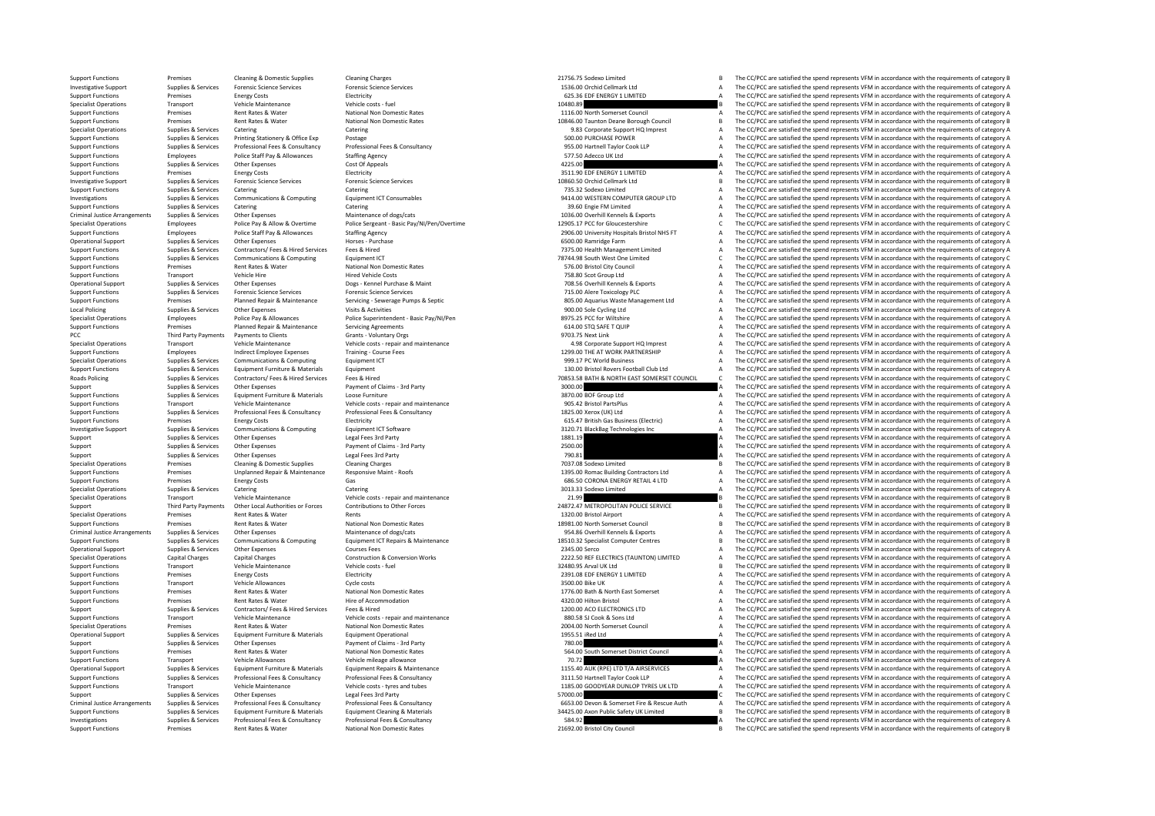Support Functions Premises Cleaning & Domestic Supplies Cleaning Charges Cleaning Charges 21756.75 Sodexo Limited B The CC/PCC are satisfied the spend represents VFM in accordance with the requirements of category B Investigative Support Supplies & Services Forensic Science Services Forensic Science Services Forensic Science Services Forensic Science Services and the companical Cellmark Ltd A The CC/PCC are satisfied the spend represe SUPPORT FUNCTIONS PREMISES ENERGY 1 LIMITED A The CC/PCC are satisfied the spend represents VFM in accordance with the requirements of category A The CC/PCC are satisfied the spend represents VFM in accordance with the req Specialist Operations Transport Vehicle Maintenance Vehicle costs fuel Vehicle costs fuel Vehicle costs fuel 10480.89 B The CC/PCC are satisfied the spend represents VFM in accordance with the requirements of category B Support Functions Rentises Rent Rates Rent Rates National Non Domestic Rates 1116.00 North Somerset Council A The CC/PCC are satisfied the spend represents VFM in accordance with the requirements of category A Support Functions Premises Premises Rent Rates Rent Rates National Non Domestic Rates 10846.00 Taunton Deane Borough Council B The CC/PCC are satisfied the spend represents VFM in accordance with the requirements of catego Specialist Operations Supplies & Services Catering Catering Catering Catering Catering Catering Catering Catering Catering Catering Catering Catering and the Supplies Catering Supplies Services Printing Statistics Postage Support Functions Supplies & Services Printing Stationery & Office Exp Postage Postage Printing Stationery & Office Exp Postage Printing Printing Printing States Printing Stational Temperature Printing Printing Printing Pr Professional Fees & Consultancy Professional Fees & Consultancy Consultancy Consultance ASS.00 Hartnell Taylor Cook LLP A The CC/PCC are satisfied the spend represents VFM in accordance with the requirements of category A Support Functions Employees Police Staff Pay & Allowances Staffing Agency Staffing Agency State Agency 577.50 Adecco UK Ltd A The CC/PCC are satisfied the spend represents VFM in accordance with the requirements of categor Support Functions Supplies & Services Other Expenses Cost Of Appeals Cost Of Appeals Cost Of Appeals Cost Of Appeals 4225.00 A The CC/PCC are satisfied the spend represents VFM in accordance with the requirements of catego Support Functions Premises Energy Costs Functions Electricity 3511.90 EDF ENERGY 1 LIMITED A The CC/PCC are satisfied the spend represents VFM in accordance with the requirements of category A Investigative Support Supplies & Services Forensic Science Services Forensic Science Services Forensic Science Services Forensic Science Services and the company of the company of the company of the company of the company Support Functions Supplies & Services Catering Catering Catering Catering Catering Catering Catering Catering Catering Catering Catering Catering The CC/PCC are satisfied the spend represents VFM in accordance with the req IMPLIES A STRATIONS SUPPLIES A SAFT COMPUTER GROUP LTD A The CC/PCC are satisfied the spend represents VFM in accordance with the requirements of category A The CC/PCC are satisfied the spend represents VFM in accordance w Support Functions Supplies & Services Catering Catering Catering Catering Support Catering Catering Catering Catering Catering Catering Catering Catering Catering Catering Catering Catering Catering Catering Supplies a Sup Criminal Justice Arrangements Supplies & Services Other Expenses Maintenance of dogs/cats Maintenance of dogs/cats and the CONCERT MECOPCC are satisfied the spend represents VFM in accordance with the requirements of categ Specialist Operations Employees Police Pay & Allow & Overtime Police Sergeant ‐ Basic Pay/NI/Pen/Overtime 12905.17 PCC for Gloucestershire C The CC/PCC are satisfied the spend represents VFM in accordance with the requirements of category C Support Functions Employees Police Staff Pay & Allowances Staffing Agency Staffing Agency 2906.00 University Hospitals Bristol NHS FT A The CC/PCC are satisfied the spend represents VFM in accordance with the requirements Operational Support Supplies & Services Other Expenses Mores - Purchase Horses - Purchase Horses - Purchase expenditional Support Support Supplies are only and the contractors of category A The CC/PCC are satisfied the spe Support Functions Supplies & Services Contractors/ Fees & Hired Finances Fees & Hired The CONTECT A The CC/PCC are satisfied the spend represents VFM in accordance with the requirements of category A Supplies & Services Co Supplies Supplies & Services Communications & Computing Equipment ICT Equipment ICT 79744.98 South West One Limited C The CC/PCC are satisfied the spend represents VFM in accordance with the requirements of category C Supp Support Functions Premises Rent Rates Rent Rates Rent Premises Rent Rates National Non Domestic Rates National Non Domestic Rates Support Function Category A The CC/PCC are satisfied the spend represents VFM in accordance Transport Vehicle Hire Vehicle Costs Pure Costs Transport Transport Transport A The CC/PCC are satisfied the spend represents VFM in accordance with the requirements of category A Dess - Kennel Purchase & Maint 708.56 Over Operational Support Supplies Alternational Supplies Other Expenses Dogs • Kennel Purchase & Maint 708.56 Overhill Kennels & Exports A The CC/PCC are satisfied the spend represents VFM in accordance with the requirements of Support Functions Supplies & Services Forensic Science Services Forensic Science Services Forensic Science Services Forensic Science Services Forensic Science Services Services Services and the control a The CC/PCC are sat Support Functions Premises Planned Repair & Maintenance Servicing - Severage Pumps & Septic entity and a servicing and a servicing and the COPCC are satisfied the spend represents VFM in accordance with the requirements of The CC/PCC are satisfied the spend represents VFM in accordance with the requirements of category  $\Delta$ Specialist Operations Employees Police Pay & Allowances Police Superintendent - Basic Pay/NI/Pen 8975.25 PCC for Wiltshire A The CC/PCC are satisfied the spend represents VFM in accordance with the requirements of category Support Functions Premises Planned Repair & Maintenance Servicing Agreements Cover and Support Functions 614.00 STQ SAFE T QUIP A The CC/PCC are satisfied the spend represents VFM in accordance with the requirements of cat The CC/PCC are satisfied the spend represents VFM in accordance with the requirements of category A Contract on the Contract Contract Contract Contract Contract Contract Contract Contract Contract Contract Contract Contract Contract Contract Contract Contract A Contract Contract Contract Contract Contract Contract Contra Support Functions Employees Indirect Employee Expenses Training Course Fees 1200.00 THE AT WORK PARTNERSHIP A The CC/PC are satisfied the spend represents VFM in accordance with the requirements of category A Specialist Operations Supplies & Services Communications & Computing Fquipment ICT examples a service of the spend represents VFM in accordance with the requirements of category A Support Functions Supplies & Services Equipment Funiture & Materials Equipment 130.00 Existol Rovers Football Club Ltd A The CC/PCC are satisfied the spend represents VFM in accordance with the requirements of category A R Supplies & Services Contractors/Fees & Hired Services Fees & Hired Franchine Services Contractors/Fees & Hired Services Fees & Hired Property Contractors/Fees & Hired Services Fees & Hired Property Contractors/Fees & Hired Support Support Support Support Other Expenses Payment of Claims • 3rd Party 3000.00 3000.00 3000.00 A The CC/PCC are satisfied the spend represents VFM in accordance with the requirements of category A Support Functions Supplies & Services Equipment Furniture & Materials Loose Furniture  $\sim$  2870.00 BOF Group Ltd A The CC/PCC are satisfied the spend represents VFM in accordance with the requirements of category A Support Functions Transport Vehicle Maintenance Vehicle costs - repair and maintenance 905.42 Bristol PartsPlus A The CC/PCC are satisfied the spend represents VFM in accordance with the requirements of category A Supplies & Services Professional Fees & Consultancy Professional Fees & Consultancy Consultancy enters are the man and the CONCOM Manufacture and The CC/PCC are satisfied the spend represents VFM in accordance with the req Support Functions Premises Energy Costs Energy Costs Electricity Equipment ICT Software Electricity and the Support Electricity and the CC/PCC are satisfied the spend represents VFM in accordance with the requirements of c Example of the COPCC are satisfied the spend represents VFM in accordance with the requirements of category A Computing and the COPCC are satisfied the spend represents VFM in accordance with the requirements of category A Support Support Support Support Support Support Support Support Support Support Support Support Support Art 20<br>A The CC/PCC are satisfied the spend represents VFM in accordance with the requirements of category A Supplies & Services Other Expenses Payment of Claims ‐ 3rd Party 2500.00 2500.00 A The CC/PCC are satisfied the spend represents VFM in accordance with the requirements of category A Support Supplies & Services Other Expenses Legal Fees 3rd Party 2018 a The CC/PCC are satisfied the spend represents VFM in accordance with the requirements of category A The CC/PCC are satisfied the spend represents VFM i Specialist Operations Premises Cleaning & Domestic Supplies Cleaning Charges Cleaning Charges Cleaning Charges 7037.08 Sodexo Limited B The CC/PCC are satisfied the spend represents VFM in accordance with the requirements Support Functions Unplanned Repair & Maintenance Responsive Maint ‐ Roofs 1395.00 Romac Building Contractors Ltd A The CC/PCC are satisfied the spend represents VFM in accordance with the requirements of category A There i Support Functions Premises Premises Energy Costs Gas Gas Gas CORONA ENERGY RETAIL 4 LTD A The CC/PCC are satisfied the spend represents VFM in accordance with the requirements of category A Category A Category A Category A Catering Catering Catering Catering Catering Catering Catering Supplies and Catering Catering Catering Catering Catering Catering Catering Catering Catering Catering Catering Catering Catering Catering Catering Category A Specialist Operations Transport Vehicle Maintenance Vehicle costs - repair and maintenance 21.99 21.99 Provide 2012 are activated by The CC/PCC are satisfied the spend represents VFM in accordance with the requirements of Third Party Payments Other Excels of Contributions to Other Forces of Development Contributions to Other Forces<br>
Specialist Operations and represents VFM in accordance with the requirements of category B<br>
Specialist Operat Premises Rent Rates & Water Rents Rents Rents Rents Rents Rents Rents Rents Rents Rents Rents Rents Rents Rents Rents A The CC/PCC are satisfied the spend represents VFM in accordance with the requirements of category A Support Functions Premises Rent Rates & Water National Non Domestic Rates 18981.00 North Somerset Council Somerset Council B The CC/PCC are satisfied the spend represents VFM in accordance with the requirements of category Criminal Justice Arrangements Supplies & Services Other Expenses Maintenance of dogs/cats Maintenance of dogs/cats and the supplies of the CONCC are satisfied the spend represents VFM in accordance with the requirements of B The CC/PCC are satisfied the spend represents VFM in accordance with the requirements of category B Operational Support Supplies & Services Other Expenses Courses Fees 2345.00 Serco 2345.00 Serco A The CC/PCC are satisfied the spend represents VFM in accordance with the requirements of category A Courses Capital Charges Specialist Operations Capital Charges Capital Charges Construction & Construction & Conversion Works 2222.50 REFELECTRICS (TAUNTON) LIMITED A The CC/PCC are satisfied the spend represents VFM in accordance with the require Transport Vehicle Maintenance Vehicle costs ‐ fuel Support Vehicle costs ‐ fuel Vehicle costs ‐ fuel 32480.95 Arval UK Ltd B The CC/PCC are satisfied the spend represents VFM in accordance with the requirements of category Support Functions Premises Energy Costs Electricity Electricity 2391.08 EDF ENERGY 1 LIMITED A The CC/PCC are satisfied the spend represents VFM in accordance with the requirements of category A Support Transport Vehicle Allowances Cycle costs 3500.00 Bike UK A The CC/PCC are satisfied the spend represents VFM in accordance with the requirements of category A Support Functions Premises Rent Rates Rent Rates Rent Rates National Non Domestic Rates 1776.00 Bath & North East Somerset A The CC/PCC are satisfied the spend represents VFM in accordance with the requirements of category Support Functions Premises Antent Rates & Water Hire of Accommodation Hire of Accommodation Hire of Accommodation 4320.00 Hilton Bristol A The CC/PCC are satisfied the spend represents VFM in accordance with the requiremen Support Supplies & Services Contractors/ Fees & Hired Services Fees & Hired Hired Hired Process Fees & Hired Process Fees & Hired 1200.00 ACO ELECTRONICS LTD A The CC/PCC are satisfied the spend represents VFM in accordanc Transport Vehicle Maintenance Vehicle costs ‐ repair and maintenance 880.58 SJ Cook & Sons Ltd A The CC/PCC are satisfied the spend represents VFM in accordance with the requirements of category A Specialist Operations Premises Rent Rates & Water National Non Domestic Rates 2004.00 North Somerset Council A The CC/PCC are satisfied the spend represents VFM in accordance with the requirements of category A Operational Support Supplies & Services Equipment Furniture & Materials Equipment Operational 1955.51 iRed Ltd A The CC/PCC are satisfied the spend represents VFM in accordance with the requirements of category A Support Supplies & Services Other Expenses Payment of Claims ‐ 3rd Party 780.00 <sup>A</sup> The CC/PCC are satisfied the spend represents VFM in accordance with the requirements of category A Support Functions Premises Rent Rates & Water National Non Domestic Rates National Non Domestic Rates States Support Function Council A The CC/PCC are satisfied the spend represents VFM in accordance with the requirements Support Functions Transport Vehicle Allowances Vehicle mileage allowance Vehicle mileage allowance Vehicle mileage allowance 70.72 A The CC/PCC are satisfied the spend represents VFM in accordance with the requirements of Equipment Repairs & Maintenance entity and the settlement of category A and the CC/PCC are satisfied the spend represents VFM in accordance with the requirements of category A a category A a content of category A a content Exampled the COPCC are satisfied the spend represents Vehicle Catalog Manuform of Vehicle Costs. Professional Fees & Consultancy Professional Fees & Consultancy Costs. Consultancy and the costs and the costs and the costs Support Functions Transport Vehicle Maintenance Vehicle costs - tyres and tubes vers and tubes 1185.00 GOODYEAR DUNLOP TYRES UK LTD A The CC/PCC are satisfied the spend represents VFM in accordance with the requirements of Support Supplies & Services Other Expenses Legal Fees 3rd Party Legal Fees 3rd Party States Consultancy Computer Consultance STATUS STATES CONNOLLED STATES ARE STATES OF CONCE ARE SERVICE AT A THE CC/PCC are satisfied the Criminal lustice Arrangements Sunnlies & Services Professional Fees & Consultancy Professional Fees & Consultancy Professional Fees & Consultancy Professional Fees & Consultancy Professional Fees & Consultancy Sunnish Cons Supplies & Services Equipment Furniture & Materials Equipment Cleaning & Materials Materials Equipment Cleaning & Materials and the control of the CONCE are satisfied the spend represents VFM in accordance with the require Investigations Supplies & Services Professional Fees & Consultancy Professional Fees & Consultancy Consultancy<br>
Supplies Services And The CC/PCC are satisfied the spend represents VFM in accordance with the requirements of The CC/PCC are satisfied the spend represents VFM in accordance with the requirements of category B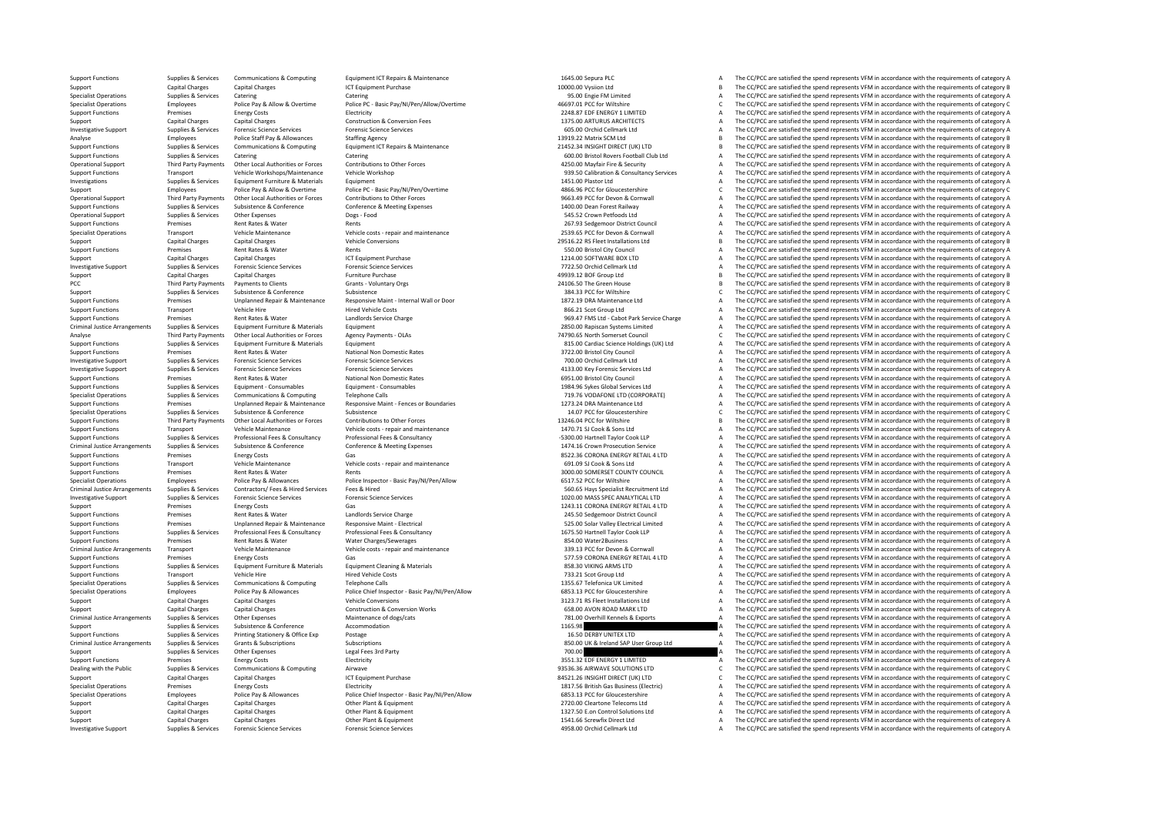Support Functions Supplies & Services Communications & Computing Equipment ICT Repairs & Maintenance 1645.00 Sepura PLC A The CC/PCC are satisfied the spend represents VFM in accordance with the requirements of category A Support Capital Charges Capital Charges ICT Equipment Purchase 10000.00 Vysiion Ltd 10000.00 Vysiion Ltd B The CC/PCC are satisfied the spend represents VFM in accordance with the requirements of category B<br>1999 Supplies B SPECIAL OPERATIONS OF THE CONTROL OPERATIONS OF THE CONTROL OPERATIONS OF THE CONTROL OPERATIONS CATEGORY A THE CONTROL A THE COPC Are satisfied the spend represents VFM in accordance with the requirements of category A A Specialist Operations Employees Police Pav & Allow & Overtime Police PC - Basic Pav/NI/Pen/Allow/Overtime 46697.01 PCC for Wiltshire COVEC are satisfied the spend represents VFM in accordance with the requirements of categ Support Functions Premises Energy Costs Functions Electricity Premises Energy Costs Electricity Premises Energy Costs Electricity Premises Energy Costs Functions Premises Energy Costs Functions Premises Energy Costs Functi Support Capital Charges Capital Charges Construction & Conversion Fees 1375.00 ARTURUS ARCHITECTS A The CC/PCC are satisfied the spend represents VFM in accordance with the requirements of category A Investigative Support Supplies & Services Forensic Science Services Forensic Science Services Forensic Science Services Forensic Science Services and the computation of the CC/PCC are satisfied the spend represents VFM in Analyse Employees Police Staff Pay & Allowances Staffing Agency Staffing Agency 13919.22 Matrix SCM Ltd 13919.22 Matrix SCM Ltd B The CC/PCC are satisfied the spend represents VFM in accordance with the requirements of cat The CC/PCC are satisfied the spend represents VEM in accordance with the requirements of category B Supplies Services Catering Catering Catering Catering Catering Catering Catering Catering Catering Catering Catering Catering Catering Catering Catering Catering Catering Catering Catering Catering Catering Catering Cateri Operational Support Third Party Payments Other Local Authorities or Forces Contributions to Other Forces Contributions to Other Forces and the COMENDATIST CONSIDERATION CONSIDERATION CONTRIBUTION CONTRIBUTION A The CC/PCC Support Functions Transport Vehicle Workshops/Maintenance Vehicle Workshop 939.50 Calibration & Consultancy Services A The CC/PCC are satisfied the spend represents VFM in accordance with the requirements of category A Investigations Supplies & Services Equipment Furniture & Materials Equipment 1451.00 Plastor Ltd A The CC/PCC are satisfied the spend represents VFM in accordance with the requirements of category A Support Employees Police Pay & Allow & Overtime Police PC - Basic Pay/NI/Pen/Overtime 4866.96 PCC for Gloucestershire C The CC/PCC are satisfied the spend represents VFM in accordance with the requirements of category C Co Other Local Authorities or Forces Contributions to Other Forces Contributions to Other Forces Contributions to Other Forces Contence of Category A Substance (Substance 2014) A The CC/PCC are satisfied the spend represents Support Functions Supplies & Services Subsistence & Conference Conference & Meeting Expenses 1400.00 Dean Forest Railway A The CC/PCC are satisfied the spend represents VFM in accordance with the requirements of category A Operational Support Supplies & Services Other Expenses Dogs - Food Dogs - Food Dogs - Food 545.52 Crown Petfoods Ltd A The CC/PCC are satisfied the spend represents VFM in accordance with the requirements of category A The Support Functions Premises Rent Rates & Water Rents Rents Rents Rents Rents Rents Rents 267.93 Sedgemoor District Council A The CC/PCC are satisfied the spend represents VFM in accordance with the requirements of category Specialist Operations Transport Menicle Maintenance Menicle of Vehicle costs - repair and maintenance vith vehicle costs - repair and maintenance and the costs of the CONCOM Connual Menicle of The CC/PCC are satisfied the Support Capital Charges Capital Charges Capital Charges Vehicle Conversions 2013 2013 2013 2014 2013 2014 2013<br>29 Support Capital Charges Spend Rents And The COPCC are satisfied the spend represents VFM in accordance with Examples Rent Rates & Water Rents Rents Rents Rents Rents Rents Rents Rents Rents Rents Rents Rents Rents Rent<br>Capital Charges Capital Charges Capital Charges (CT Equipment Purchase Rents Rents Rents Rents Rents Rents Ren<br> Support Capital Charges Capital Charges ICT Equipment Purchase 1214.00 SOFTWARE BOX LTD A The CC/PCC are satisfied the spend represents VFM in accordance with the requirements of category A Investigative Support Supplies & Services Forensic Science Services Forensic Science Services Forensic Science Services Forensic Science Services Forensic Science Services and the companism of the CC/PCC are satisfied the Support Capital Charges Capital Charges Furniture Purchase and the control of the CONSTANT CHARGES CAPITAL CHARGES AND THE CONSTANT CONSTANT CONSTANT CHARGES AND THE CONSTANT CONSTANT CHARGES THE CONSTANT CHARGES AND THE C PCC Third Party Payments Payments to Clients Grants ‐ Voluntary Orgs 24106.50 The Green House <sup>B</sup> The CC/PCC are satisfied the spend represents VFM in accordance with the requirements of category B Support Support Support Subsistence Subsistence Subsistence Subsistence Subsistence Subsistence Subsistence Subsistence Subsistence Conference Subsistence Subsistence Subsistence Conference Subsistence Subsistence Conferen Support Functions Premises Unplanned Repair & Maintenance Responsive Maint - Internal Wall or Door Maint and the CONCOURCE are satisfied the spend represents VFM in accordance with the requirements of category A<br>Support Fu  $\Delta$  The CC/PCC are satisfied the spend represents VFM in accordance with the requirements of category  $\Delta$ Support Functions Premises Rent Rates & Water Landlords Service Charge Support Functions Premises Rent Rates & Water Landlords Service Charge 969.47 FMS Ltd - Cabot Park Service Charge A The CC/PCC are satisfied the spend Criminal Justice Arrangements Supplies & Services Equipment Furniture & Materials Equipment Equipment Equipment<br>Third Party Payments Other Local Authorities or Forces Agency Payments - OLAs 74790.65 North Somerset Council The CC/PCC are satisfied the spend represents VFM in accordance with the requirements of category C Support Functions Supplies & Services Equipment Functions Addressive Equipment States Equipment 81.00 Cardiac Science Holdings (UK) Ltd A The CC/PCC are satisfied the spend represents VFM in accordance with the requirement Support Functions Support Premises Rent Rates Rent Rates National Non Domestic Rates 372.00 Bristol City Council A The CC/PC are satisfied the spend represents VFM in accordance with the requirements of category A The CC/P Investigative Support Supporters Forensic Science Services Forensic Science Services Forensic Science Services Forensic Science Services Forensic Science Services Forensic Science Services Forensic Science Services Forensi Investigative Support Supplies & Services Forensic Science Services Forensic Science Services 4133.00 Key Forensic Services Ltd <sup>A</sup> The CC/PCC are satisfied the spend represents VFM in accordance with the requirements of category A Support Functions Premises Rent Rates Rent Consumedial Non Domestic Rates National Non Domestic Rates (Support Function Consumed Later and The CC/PCC are satisfied the spend represents VFM in accordance with the requiremen Support Functions Support Functions Consument CONSUM and Support Functions Consument Consument Consument Consu<br>The CC/PCC are satisfied the spend represents VFM in accordance with the requirements of category A<br>The CC/PCC Specialist Operations Supplies & Services Communications & Computing Telephone Calls Telephone Calls 719.76 VODAFONE LTD (CORPORATE) A The CC/PCC are satisfied the spend represents VFM in accordance with the requirements o Support Francisco Community of the CONSTRATE (SUPPORT ASSESS) The CONSTRATE OF A SUPPORT AND A THE CONSTRATE OF A THE CONSTRATE OF A THE CONSTRATE OF A THE CONSTRATE OF A THE CONSTRATE OF A THE CONSTRATE OF A THE CONSTRATE Specialist Operations Supplies & Services Subsistence Subsistence Subsistence Subsistence Subsistence Subsistence Subsistence Contributions to Other Forces Supplies and the conference of Contenctions of Contentions of Cont 1324604 PCC for Wilshire Bank of The CCPCC are satisfied the spend represents VFM in accordance with the requirements of category B Contributions to the Tores contributions to the Cromation of the CCPCC are satisfied the s Support Functions Transport Vehicle Maintenance Vehicle costs - repair and maintenance Vehicle costs - repair and maintenance and the COOS A The CC/PCC are satisfied the spend represents VFM in accordance with the requirem Professional Fees & Consultancy Professional Fees & Consultancy Consultancy Consultancy Consultancy Consultancy<br>1474.16 Crown Prosecution Service Consultance and the CC/PCC are satisfied the spend represents VFM in accorda Commission of the CC/PCC are satisfied the spend represents Viening Premises and the Commission of the Commission of the Commission of the Commission of the Commission of the Commission of the Commission of the Commission Support Functions Functions Premises Energy Costs Gas Gas Gas Gas and maintenance Gas 8522.36 CORONA ENERGY RETAIL 4 LTD A The CC/PCC are satisfied the spend represents VFM in accordance with the requirements of category A Support Functions Transport Vehicle Maintenance Vehicle costs ‐ repair and maintenance vehicle costs ‐ repair and maintenance of the COOS SONS COOK & Sons Ltd A The CC/PCC are satisfied the spend represents VFM in accordan Premises Rent Rates & Water Rents Rents Rents Rents Rents Premises Rent Rates Rents Rents And The CONTY COUNCIL A The CC/PCC are satisfied the spend represents VFM in accordance with the requirements of category A<br>Employee Specialist Operations Employees Police Pay & Allowances Police Inspector - Basic Pay/NI/Pen/Allow Changed Basic Pay/NI/Pen/Allow Changed Basic Pay/NI/Pen/Allow Changed Basic Pay and December 2007 Changed Basic Pay and The Criminal Justice Arrangements Supplies & Services Contractors/ Fees & Hired Supplies Cervices Fees & Hired Supplies & Services Fees & Hired Supplies & Services Fees & Hired Supplies & Services Fees & Hired Supplier Recorde nvestigative Support Services Services (Services Forential Science Services Forential Science of the Support of the Support of the Support of the Support of the Support of the Support of the Support of the Support of the S Support Premises Energy Costs Gas Gas Gas Category A Support Concerns and the CC/PCC are satisfied the spend represents VFM in accordance with the requirements of category A The CC/PCC are satisfied the spend represents VF Premises Rent Rates & Water Landlords Service Charge 245.50 Sedgemoor District Council 245.50 Sedgemoor District Council A The CC/PCC are satisfied the spend represents VFM in accordance with the requirements of category A Support Functions Premises Unplanned Repair & Maintenance Responsive Maint - Electrical states and the S25.00 Solar Valley Electrical Limited A The CC/PCC are satisfied the spend represents VFM in accordance with the requi Supplies & Services Professional Fees & Consultancy Professional Fees & Consultancy Consultancy Professional Fees & Consultancy Consultancy and the SUSS Distribution of the COPCC are satisfied the spend represents VFM in a Premises Rent Rates & Water Water Charges/Sewerages Mater 2Business A The CC/PCC are satisfied the spend represents VFM in accordance with the requirements of category A Criminal Justice Arrangements Transport Member and Members of Vehicle costs repair and maintenance (Criminal American Sand Sand Criminal University Criminal University Criminal University of Members of detegory A Criminal Support Functions Functions Premises Energy Costs Gas Gas Gas Gas Support Functions Gas 577.59 CORONA ENERGY RETAIL 4 LTD A The CC/PCC are satisfied the spend represents VFM in accordance with the requirements of category The CC/PCC are satisfied the spend represents VFM in accordance with the requirements of category A Support Functions Transport Vehicle Hire Hired Vehicle Costs Fired Vehicle Costs and the COSts 733.21 Scot Group Ltd A The CC/PCC are satisfied the spend represents VFM in accordance with the requirements of category A Specialist Operations Supplies & Services Communications & Computing Telephone Calls 1355.67 Telefonica UK Limited A The CC/PCC are satisfied the spend represents VFM in accordance with the requirements of category A Specialist Operations Employees Police Pay & Allowances Police Chief Inspector - Basic Pay/N/Pen/Allow 6853.13 PCC for Gloucestershire A The CC/PCC are satisfied the spend represents VFM in accordance with the requirements Support Capital Charges Capital Charges Support Conversions Construction & Conversions Conversions 3123.71 RS Fleet Installations Ltd A The CC/PCC are satisfied the spend represents VFM in accordance with the requirements Support Capital Charges Capital Charges Capital Charges Construction & Conversion Works 658.00 AVON ROAD MARK LTD A The CC/PCC are satisfied the spend represents VFM in accordance with the requirements of category A Charac The CC/PCC are satisfied the spend represents VFM in accordance with the requirements of category A Supplies & Supplies & Subsistence & Conference Accommodation Accommodation a manual and the Support Accommodation 1165.98 A The CC/PCC are satisfied the spend represents VFM in accordance with the requirements of category Support Functions Support Printing Stationary & Office Exp Postage 16.50 DERBY UNITEX LTD A The CC/PCC are satisfied the spend represents VFM in accordance with the requirements of category A Company and Company and Company and Company of Company and Company and Company and Company and Company and Company and Company and Company and Company and Company and Company and Company and Company and Company and Company Support Supplies & Services Other Expenses And Degal Fees 3rd Party 2012 a Support Category 2008 The CC/PCC are satisfied the spend represents VFM in accordance with the requirements of category A The CC/PCC are satisfied Support Functions Premises Energy Costs Energy Costs Electricity Electricity Support Electricity and the COST ENERGY 1 LIMITED A The CC/PCC are satisfied the spend represents VFM in accordance with the requirements of cate 93536.36 AIRWAVE SOLUTIONS LTD Communic Communications Communications Computing Aircrave Airwave 93536.36 AIRWAVE SOLUTIONS LTD C The CC/PCC are satisfied the spend represents VFM in accordance with the requirements of cat Support Capital Charges Capital Charges Capital Charges ICT Equipment Purchase ICT Equipment Purchase 84521.26 INSIGHT DIRECT (UK) LTD C The CC/PCC are satisfied the spend represents VFM in accordance with the requirements Specialist Operations Premises Energy Costs Electricity Electricity Electricity Inc. and the COST Development Costs Electric A The CC/PCC are satisfied the spend represents VFM in accordance with the requirements of catego Employees Police Pay & Allowances Police Chief Inspector - Basic Pay/NI/Pen/Allow 6853.13 PCC for Gloucestershire A The CC/PCC are satisfied the spend represents VFM in accordance with the requirements of category A Police Support Capital Charges Capital Charges Capital Charges Other Plant & Equipment Capital Charges Capital Charges Capital Charges Capital Charges Capital Charges Capital Charges Capital Charges Capital Charges Charges Charge Support Capital Charges Capital Charges Capital Charges Capital Charges Other Plant & Equipment 1327.50 E.on Control Solutions Ltd A The CC/PCC are satisfied the spend represents VFM in accordance with the requirements of Support Capital Charges Capital Charges Capital Charges Capital Charges Other Plant & Equipment 1541.66 Screwfix Direct Ltd A The CC/PCC are satisfied the spend represents VFM in accordance with the requirements of categor The CC/PCC are satisfied the spend represents VFM in accordance with the requirements of category A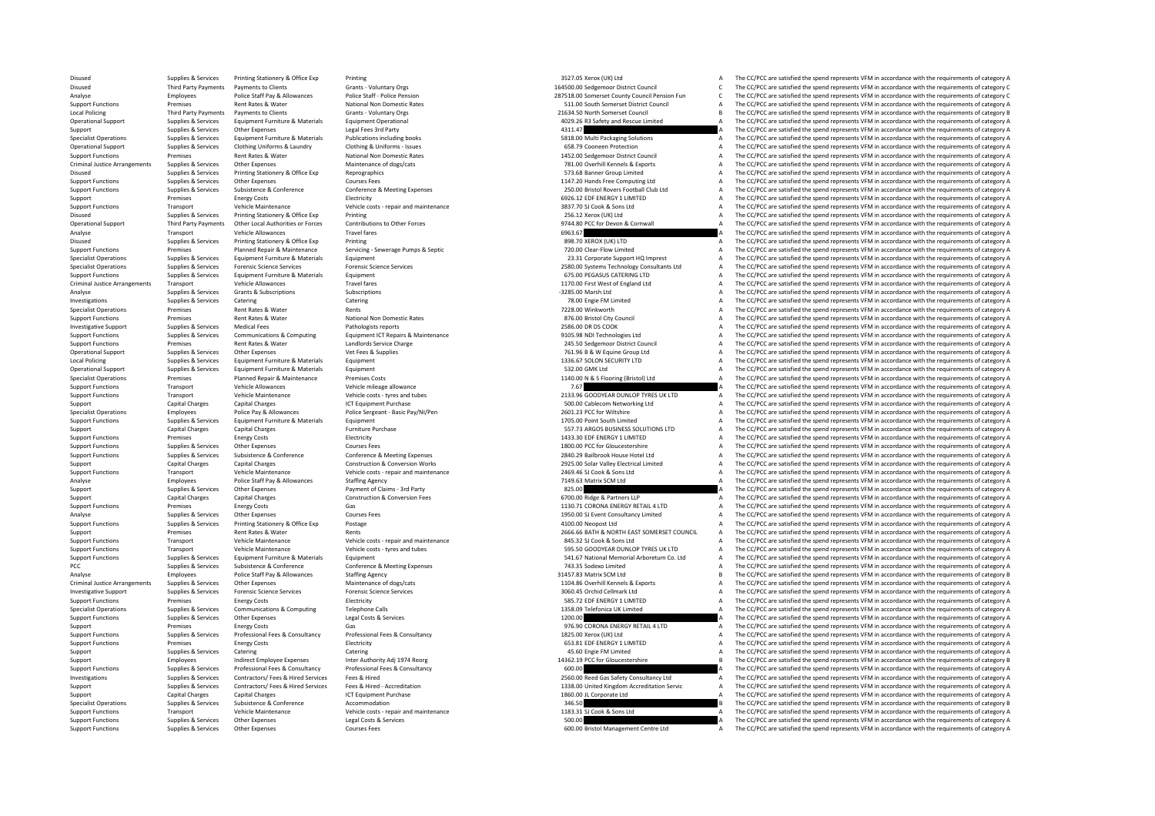Disused Supplies & Services Printing Stationery & Office Exp Printing 3527.05 Xerox (UK) Ltd 3527.05 Xerox (UK) Ltd A The CC/PCC are satisfied the spend represents VFM in accordance with the requirements of category A Disused Third Party Payments Payments of Clients Grants - Voluntary Orgs Grants - Voluntary Orgs 164500.00 Sedgemoor District Council Council Council Council C The CC/PCC are satisfied the spend represents VFM in accordanc 7518.00 Somerset County Council Pension Fun<br>7518.00 Somerset County Council Pension Fun<br>79 The CO/PCC are satisfied the spend represents VFM in accordance with the requirements of category C Support Functions Premises Rent Rates Water National Non Domestic Rates 511.00 South Somerset District Council A The CC/PCC are satisfied the spend represents VFM in accordance with the requirements of category A Local Policing Third Party Payments Payments to Clients Grants Council Council 2016 a The CC/PC are satisfied the spend represents VFM in accordance with the requirements of category B in a council council and represents V Contract Operational Support of California Support Support Support Support Contract Care Contract Care Capital Care and Record of Capital Capital Capital Capital Capital Capital Capital Capital Capital Capital Capital Capi Support Supplies & Services Other Expenses Legal Fees 3rd Party 4311.47 A The CC/PCC are satisfied the spend represents VFM in accordance with the requirements of category A Specialist Operations Supplies & Services Equipment Furniture & Materials Publications including books SB.8.00 Multi Packaging Solutions Materials and The CC/PCC are satisfied the spend represents VFM in accordance with th The CC/PCC are satisfied the spend represents VFM in accordance with the requirements of category A Support Functions Premises Rent Rates Rent Rates National Non Domestic Rates 1452.00 Sedgemoor District Council A The CC/PCC are satisfied the spend represents VFM in accordance with the requirements of category A Criminal Justice Arrangements Supplies & Services Other Expenses Maintenance of dogs/cats Maintenance of dogs/cats Maintenance of dogs/cats 781.00 Overhill Kennels & Exports A The CC/PCC are satisfied the spend represents Disused Supplies Services Printing Stationery & Office Exp Reprographics Corresponding Control of Control of the COMPOS Banner Group Limited A The CC/PCC are satisfied the spend represents VFM in accordance with the requir Support Functions Support Functions Support Functions Support Functions 1147.20 Hands Free Computing Ltd A The CC/PCC are satisfied the spend represents VFM in accordance with the requirements of category A Conference & Me Exampled Supplies & Services Subsistence & Conference Conference Conference Conference Conference Conference Conference Conference Conference Conference Supplies a metal a The CC/PCC are satisfied the spend represents VFM Support Premises Electricity and maintenance the maintenance of the maintenance of the maintenance of the maintenance of the Support of the Support Premises of the Support Premises of the Support of the Support of the Supp Support Functions Transport Vehicle Maintenance Vehicle costs - repair and maintenance Vehicle costs - repair and maintenance and the Same of the Sons Ltd A The CC/PCC are satisfied the spend represents VFM in accordance w Disused Supplies & Services Printing Stationery & Office Exp Printing and Printing Printing 256.12 Xerox (UK) Ltd A The CC/PCC are satisfied the spend represents VFM in accordance with the requirements of category A The CC Third Party Payments Other Local Authorities or Forces Contributions to Other Forces Contributions to Other Forces of the Contributions to Other Forces and the CONCERT CONNUMERT ACCIDENT A The CONCERT A THE CONCERT ARE CON Analyse Transport Vehicle Allowances Travel fares Travel fares Travel fares and the COLOGIC CONCERT CONCERT CONCERT A The CC/PCC are satisfied the spend represents VFM in accordance with the requirements of category A The Disused Supplies & Services Printing Stationery & Office Exp Printing Printing Printing Printing Printing Stationery A Printing Stationery A Child Base of Category A The CC/PCC are satisfied the spend represents VFM in acc Support Functions Premises Planned Repair & Maintenance Servicing ‐ Servicing ‐ Servicing ‐ Servicing ‐ Servicing ‐ Servicing ‐ Servicing • Servicing • Servicing • Servicing • Servicing • Servicing • Servicing • Servicing Specialist Operations Supplies A Service Support HQ Imprest A The CC/PCC are satisfied the spend represents VFM in accordance with the requirements of category A Specialist Operations Supplies & Services Forensic Science Services Forensic Science Services Forensic Science Services Forensic Science Services and the CONCO Systems Technology Consultants Ltd A The CC/PCC are satisfied Support Functions Support Functions Support Functions Support Functions Category A The CONSECTION CATERING LTD A The CONSECTION CATERING LTD A THE CONSECTION A THE CONSECTION ASSOCIATED A THE CONSECTION ASSOCIATED A THE CO Criminal Vehicle Allowances Arrangements Travel fares Travel fares Travel fares Travel fares Travel fares and Ltd A The CC/PCC are satisfied the spend represents VFM in accordance with the requirements of category A The CC Analyse Supplies Services Grants & Subscriptions Subscriptions Subscriptions Subscriptions Subscriptions Subscriptions and the CL/PCC are satisfied the spend represents VFM in accordance with the requirements of category A Investigations Supplies Services Catering Catering Catering Catering Catering Catering Catering Catering Catering and the control and the control of the CC/PCC are satisfied the spend represents VFM in accordance with the Specialist Operations Premises Rentalist Operations Rents 720 Windows Represents 72 and The CC/PCC are satisfied the spend represents VFM in accordance with the requirements of category A Support Functions Premises Rent Rates Rent Rates Rent Pational Non Domestic Rates National Non Domestic Rates 876.00 Bristol City Council A The CC/PCC are satisfied the spend represents VFM in accordance with the requireme Investigative Support Supplies & Services Medical Fees Pathologists reports Pathologists reports Pathologists reports 2586.00 DR DS COOK A The CC/PCC are satisfied the spend represents VFM in accordance with the requiremen The CC/PCC are satisfied the spend represents VFM in accordance with the requirements of category A Support Functions Premises Rent Rates & Water Landlords Service Charge Charge 245.50 Sedgemoor District Council A The CC/PCC are satisfied the spend represents VFM in accordance with the requirements of category A Operational Support Supplies & Services Other Expenses Vet Fees & Supplies Vet Fees & Supplies 761.96 B & W Equine Group Ltd A The CC/PC are satisfied the spend represents VFM in accordance with the requirements of categor Local Policing Supplies Services Equipment Furniture & Materials Equipment Equipment 1336.67 SOLON SECURITY LTD A The CC/PCC are satisfied the spend represents VFM in accordance with the requirements of category A Checken Operational Support Supplies & Services Equipment Furniture & Materials Equipment Equipment Suppliers and the content of category A The CC/PCC are satisfied the spend represents VFM in accordance with the requirements of c Specialist Operations Premises Planned Repair & Maintenance Premises Costs 1140.00 N & S Flooring (Bristol) Ltd A The CC/PCC are satisfied the spend represents VFM in accordance with the requirements of category A Speciali Transport Vehicle Allowances Vehicle mileage allowance Vehicle mileage allowance<br>Transport Vehicle Maintenance Vehicle costs - twres and tubes vehicle costs - twres and tubes vehicle costs - twres and tubes a the CC/PCC ar Support Functions Transport Vehicle Maintenance Vehicle costs - tyres and tubes Vehicle costs - tyres and tubes 2133.96 GOODYEAR DUNLOP TYRES UK LTD A The CC/PCC are satisfied the spend represents VFM in accordance with th Support Capital Charges Capital Charges ICT Equipment Purchase Support Purchase 500.000 Capital Charges ICT Equipment Purchase 500.000 Capital Charges A The CC/PCC are satisfied the spend represents VFM in accordance with Specialist Operations Employees Police Pay & Allowances Police Sergeant - Basic Pay/NI/Pen 2601.23 PCC for Wiltshire A The CC/PCC are satisfied the spend represents VFM in accordance with the requirements of category A Sup Support Functions Supplies & Services Equipment Furniture & Materials Equipment Equipment Equipment 1705.00 Point South Limited A The CC/PCC are satisfied the spend represents VFM in accordance with the requirements of cat Support Capital Charges Capital Charges Furniture Purchase Funniture Purchase 557.73 ARGOS BUSINESS SOLUTIONS LTD A The CC/PCC are satisfied the spend represents VFM in accordance with the requirements of category A Suppor Support Functions Premises Energy Costs and The CC/PCC are satisfied the spend represents VFM in accordance with the requirements of category A The CC/PCC are satisfied the spend represents VFM in accordance with the requi Support Functions Supplies & Services Other Expenses Courses Fees Courses Fees Courses Fees 1800.00 PCC for Gloucestershire A The CC/PCC are satisfied the spend represents VFM in accordance with the requirements of categor Exampled the Contempt of Contempt of Contempt Contempt Contempt Contempt Contempt Contempt Contempt Contempt Contempt Contempt Contempt Contempt Contempt Contempt Contempt Contempt Contempt Contempt Contempt Contempt Conte Support Capital Charges Capital Charges Construction & Conversion Works 2925.00 Solar Valley Flectrical Limited A The CC/PCC are satisfied the spend represents VFM in accordance with the requirements of category A Support Tunctions Transport Vehicle Maintenance Vehicle costs • repair and maintenance 2469.46 Sons Ltd A The CC/PCC are satisfied the spend represents VFM in accordance with the requirements of category A The CC/PCC are s Analyse Employees Police Staff Pay & Allowances Staffing Agency Staffing Agency and the CONSECT PART A The CC/PCC are satisfied the spend represents VFM in accordance with the requirements of category A The CC/PCC are sati Supplies & Services Other Expenses Payment of Claims - 3rd Party 825.00 825.00 A The CC/PCC are satisfied the spend represents VFM in accordance with the requirements of category A Support Capital Charges Capital Charges Capital Charges Construction & Conversion Fees 6700.00 Ridge & Partners LLP A The CC/PCC are satisfied the spend represents VFM in accordance with the requirements of category A Supp Support Functions Premises Energy Costs Gas Gas 1130.71 CORONA ENERGY RETAIL 4 LTD A The CC/PCC are satisfied the spend represents VFM in accordance with the requirements of category A Courses Courses Courses Courses Cours Analyse Supplies & Services Other Expenses Courses Fees Courses Courses Courses Courses Courses Courses Courses Courses Courses Courses Courses Courses Courses Courses Courses Courses Courses Courses Courses Courses Course Support Functions Supplies & Services Printing Stationery & Office Exp Postage exp Postage 4100.00 Neopost Ltd A The CC/PCC are satisfied the spend represents VFM in accordance with the requirements of category A Support Premises Rent Rates & Water Rents Rents Rents Rents Rents Rents Rents Rents Rents Rents Rents Rents Rents 2666.66 BATH & RORTH EAST SOMERSET COUNCIL A The CC/PCC are satisfied the spend represents VFM in accordance Support Functions Vehicle costs • repair and maintenance Vehicle costs • repair and maintenance Vehicle costs • repair and maintenance and the sections of category A The CC/PCC are satisfied the spend represents VFM in acc Support Functions Transport Vehicle Maintenance Vehicle costs - tyres and tubes 595.50 GOODYEAR DUNLOP TYRES UK LTD A The CC/PCC are satisfied the spend represents VFM in accordance with the requirements of category A Support Functions Supplies & Services Equipment Furniture & Materials Equipment Equipment Support Functions Equipment Support Functions and States and the CC/PCC are satisfied the spend represents VFM in accordance with th The CC/PCC are satisfied the spend represents VFM in accordance with the requirements of category A Analyse Employees Police Staff Pay & Allowances Staffing Agency 31457.83 Matrix SCM Ltd B The CC/PCC are satisfied the spend represents VFM in accordance with the requirements of category B Criminal Justice Arrangements Supplies & Services Other Expenses Maintenance of dogs/cats Maintenance of dogs/cats Maintenance of dogs/cats and the main temperature of dogs/cats and the CO/PCC are satisfied the spend repre Investigative Supplies Services Forensic Support Support Support Support Services Forensic Science Services Support Support Support Support Support Support Support Support Support Support Support Support A The CC/PCC are s Support Functions Premises Energy Costs Electricity Electricity SBS.72 EDF ENERGY 1 LIMITED A The CC/PCC are satisfied the spend represents VFM in accordance with the requirements of category A Specialist Operations Supplies & Services Communications & Computing Telephone Calls 1358.09 Telefonica UK Limited A The CC/PCC are satisfied the spend represents VFM in accordance with the requirements of category A The C The CC/PCC are satisfied the spend represents VFM in accordance with the requirements of category A Support Premises Energy Costs Gas Gas Service Gas And Content of Content of Costs Gas And Content of Category A The CC/PCC are satisfied the spend represents VFM in accordance with the requirements of category A Support of the services of the services and the services of the services of the services of the services of the services of the services of the services of the services of the services of the services of the services of th Support Functions Premises Energy Costs Electricity Electricity 653.81 EDE ENERGY 1 LIMITED A The CC/PCC are satisfied the spend represents VFM in accordance with the requirements of category A Support Supplies & Services Catering Catering Catering Catering A The CC/PCC are satisfied the spend represents VFM in accordance with the requirements of category A The CC/PCC are satisfied the spend represents VFM in acc Support Employees Indirect Employee Expenses Inter Authority Adj 1974 Reorg 1974 Reorg 14362.19 PCC for Gloucestershire B The CC/PCC are satisfied the spend represents VFM in accordance with the requirements of category B Professional Fees & Consultancy Professional Fees & Consultancy Consultancy Professional Fees & Consultancy Ees & Consultancy Ees & Consultancy Ees & Consultancy Ees & Consultancy Ees & Consultancy Ees & Consultancy Ees & Investigations Supplies & Services Contractors/ Fees & Hired Services Fees & Hired 2560.00 Reed Gas Safety Consultancy Ltd A The CC/PCC are satisfied the spend represents VFM in accordance with the requirements of category Supplies & Services Contractors/ Fees & Hired Services Fees & Hired - Accreditation Accreditation Music and Data and the COPCC are satisfied the spend represents VFM in accordance with the requirements of category A<br>The CC Support Capital Charges Capital Charges ICT Equipment Purchase 1860.00 JL Corporate Ltd A The CC/PCC are satisfied the spend represents VFM in accordance with the requirements of category A The CC/PCC are satisfied the spe Specialist Operations Supplies & Services Subsistence Subsistence Accommodation accommodation accommodation accordance accommodation 346.50 B The CC/PCC are satisfied the spend represents VFM in accordance with the require Support Functions Transport Vehicle Maintenance Vehicle costs - repair and maintenance vehicle costs - repair and maintenance and the spend a The CC/PCC are satisfied the spend represents VFM in accordance with the require Support Functions Supplies & Services Other Expenses Legal Costs & Services Costs are a services and the content of category A The CC/PCC are satisfied the spend represents VFM in accordance with the requirements of catego The CC/PCC are satisfied the spend represents VFM in accordance with the requirements of category A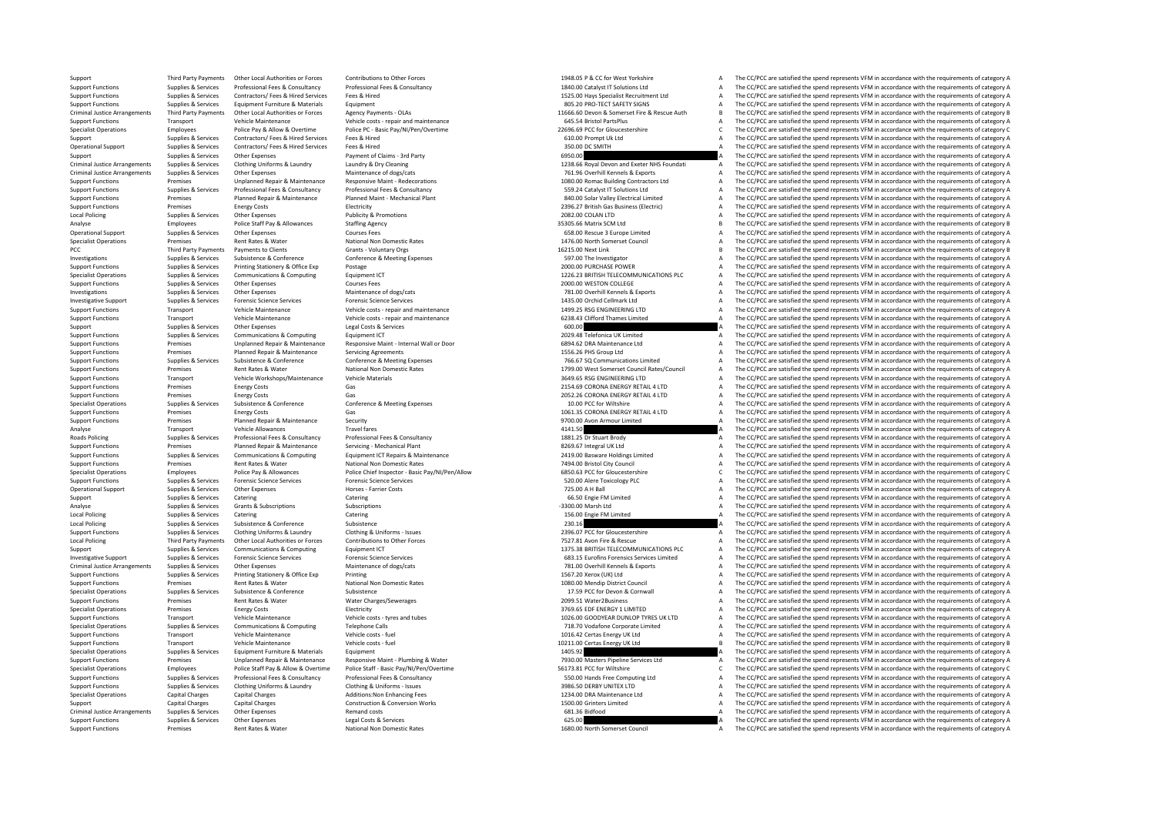Third Party Payments Other Local Authorities or Forces Contributions to Other Forces Contributions to Other Forces Contributions to Other Forces and the CONNEC 1948.05 P & CC for West Yorkshire A The CC/PCC are satisfied t Supplies & Services Professional Fees & Consultancy Professional Fees & Consultancy Consultancy and the CONSULTIS During the CONSULTIS and the CONCOREC are satisfied the spend represents VFM in accordance with the requirem 1525.00 Hays Specialist Recruitment Ltd  $A = \frac{1}{2}$  The CC/PCC are satisfied the spend represents VFM in accordance with the requirements of category A Support Functions Support Functions Support Functions Contrast Contrast Equipment Contrast Equipment Support Functions and The CC/PCC are satisfied the spend represents VFM in accordance with the requirements of category A Criminal lustice Arganements Third Darty Dayments Other Local Authorities or Enrors Angency Record Angency Care Angency Care and Care and reaction of the COCC are the COCC are assisted the special of the continuum ants of Support Functions Transport Vehicle Maintenance Vehicle costs - repair and maintenance and maintenance 645.54 Bristol PartsPlus A The CC/PCC are satisfied the spend represents VFM in accordance with the requirements of cat Specialist Operations Employees Police Pay & Allow & Overtime Police PC - Basic Pay/NI/Pen/Overtime 22690.69 PCC for Gloucestershire C The CC/PCC are satisfied the spend represents VFM in accordance with the requirements o Support Supplies & Services Contractors/ Fees & Hired Fees & Hired Services Fees & Hired Services Fees & Hired 610.00 Prompt Uk Ltd A The CC/PCC are satisfied the spend represents VFM in accordance with the requirements of  $\text{C}$  Operational Support Support Support Supplies Textiles Are the CC/PCC are satisfied the spend represents VFM in accordance with the requirements of category A<br>A The CC/PCC are satisfied the spend represents VFM in Support Support Support Other Expenses Payment of Claims - 3rd Party 6950.00 A The CC/PCC are satisfied the spend represents VFM in accordance with the requirements of category A The CC/PCC are satisfied the spend represen Criminal lustice Arrangements Sunnlies & Services Clothing Uniforms & Laundry Bundow Jaundry & Devices Clothing Uniforms & Laundry & Device and Device in the CONS of the CONS of the specified the specified the specified th Criminal Justice Arrangements Supplies & Services Other Expenses On Maintenance of dogs/cats Maintenance of dogs/cats Maintenance of dogs/cats and the control of the COPCC are satisfied the spend represents VFM in accordan Experience of the CC/PCC are satisfied the spend reports with the requirements of category A may be the induced and the equirements of category A may be the comparison of category A may be the comparison of category A may Exampled Supplies & Services Professional Fees & Consultancy Professional Fees & Consultancy Consultancy Professional Fees & Consultancy Consultancy and the Service Supplies and Supplies and Supplies a strategy and the CON  $\frac{1}{2}$  are CC/PCC are satisfied the spend represents VFM in accordance with the requirements of category A<br>2996 27 Rittish Gas Business (Flectric)  $\Delta$  The CC/PCC are satisfied the spend represents VFM in accordance wi Support Functions Premises Premises Energy Costs Publicity Electricity Publicity 2396.27 British Gas Business (Electricity A The CC/PCC are satisfied the spend represents VFM in accordance with the requirements of category Local Policing Supplies & Services Other Expenses Publicity & Promotions Publicity & Promotions Publicity & Promotions 2082.00 COLAN LTD A The CC/PCC are satisfied the spend represents VFM in accordance with the requiremen Analyse Employees Police Staff Pay & Allowances Staffing Agency 35305.66 Matrix SCM Ltd B The CC/PCC are satisfied the spend represents VFM in accordance with the requirements of category B Operational Support Supplies & Services Other Expenses 600 Courses Fees 658.00 Rescue 3 Europe Limited A The CC/PCC are satisfied the spend represents VFM in accordance with the requirements of category A Courses Fees Cour Specialist Operations Premises Rent Rates Rent Rates Rent Rational Non Domestic Rates National Non Domestic Rates 1476.00 North Somerset Council A The CC/PCC are satisfied the spend represents VFM in accordance with the re PCC Third Party Payments Payments O Clients Grants - Voluntary Orgs Grants - Voluntary Orgs 16215.00 Next Link B The CC/PCC are satisfied the spend represents VFM in accordance with the requirements of category B Constru The CC/PCC are satisfied the spend represents VFM in accordance with the requirements of category A Support Functions Supplies & Services Printing Stationery & Office Exp Postage Postage Postage 2000.00 PURCHASE POWER A The CC/PCC are satisfied the spend represents VFM in accordance with the requirements of category A Sp Specialist Operations Supplies & Services Communications & Computing Equipment ICT 1226.23 BRITISH TELECOMMUNICATIONS PLC A The CC/PCC are satisfied the spend represents VFM in accordance with the requirements of category Support Functions Supplies & Services Other Expenses Courses Fees 2000.00 WESTON COLLEGE <sup>A</sup> The CC/PCC are satisfied the spend represents VFM in accordance with the requirements of category A Investigations Supplies Services Other Expenses Maintenance of dogs/cats Maintenance of dogs/cats 781.00 Overhill Kennels & Exports A The CC/PCC are satisfied the spend represents VFM in accordance with the requirements of Investigative Support Supplies & Services Forensic Science Services Forensic Science Services Forensic Science Services Forensic Science Services and resin and the spend represents and the requirements of category A The CC The CC/PCC are satisfied the spend represents VEM in accordance with the requirements of category  $\Delta$ Support Functions Transport Vehicle Maintenance Vehicle costs - repair and maintenance vehicle costs - repair and maintenance a vehicle costs - repair and maintenance a cost of category A The CC/PCC are satisfied the spend Support Supplies & Services Other Expenses Legal Costs & Services Costs are accorded a Computer Costs are accorded a Cost of Costs are accorded a Cost of Costs and the Costs are accordance with the requirements of category The CC/PCC are satisfied the spend represents VFM in accordance with the requirements of category A Support Functions Premises Unplanned Repair & Maintenance Responsive Maint ‐ Internal Wall or Door 6894.62 DRA Maintenance Ltd <sup>A</sup> The CC/PCC are satisfied the spend represents VFM in accordance with the requirements of category A Support Functions Premises Planned Repair & Maintenance Servicing Agreements 1556.26 PHS Group Ltd A The CC/PCC are satisfied the spend represents VFM in accordance with the requirements of category A Sunnort Functions Sunnies & Services Subsistence & Conference Conference Conference Conference Conference Conference Conference Conference Conference Conference Supplies and the CONSTAGE of The CONFerence of The CONFerence Support Functions Premises Rent Rates & Water National Non Domestic Rates National Non Domestic Rates National Non Domestic Rates and the COUNCE SOMETHING IT A The CC/PCC are satisfied the spend represents VFM in accordanc Support Functions Transport Vehicle Workshops/Maintenance Vehicle Materials Network and the Support Transport Content Materials and the CC/PCC are satisfied the spend represents VFM in accordance with the requirements of c Support Functions Premises Energy Costs Containers Costs Gas 2154.69 CORONA ENERGY RETAIL 4 LTD A The CC/PCC are satisfied the spend represents VFM in accordance with the requirements of category A The SCALE 2052.26 CORONA Support Functions Premises Premises Energy Costs Gas Case Conference A Conference A Conference A Conference A Conference A Conference A Conference A Conference Conference Conference Conference Conference Conference Confere Specialist Operations Subsistence Supplies & Services Subsistence Conference Conference Conference Conference Conference Conference (COC/PCC are satisfied the spend represents VFM in accordance with the requirements of cat Support Functions Premises Energy Costs Category A Cas Case Costs CORONA ENERGY RETAIL 4 LTD A The CC/PCC are satisfied the spend represents VFM in accordance with the requirements of category A Support Functions Premises Support Functions Premises Planned Repair & Maintenance Security Security Security 9700.00 Avon Armour Limited A The CC/PCC are satisfied the spend represents VFM in accordance with the requirements of category A The Analy Analyse Transport Vehicle Allowances Travel fares Travel fares Travel fares Analyse and the CC/PCC are satisfied the spend represents VFM in accordance with the requirements of category A The CC/PCC are satisfied the spend Professional Fees & Servicing Professional Fees & Consultancy and the Material Professional Fees & Consultancy<br>Planned Repair & Maintenance Servicing - Mechanical Plant Professional Planned Repairs 1881.25 Dr Stuart Brody<br> Support Functions Premises Planned Repair & Maintenance Servicing • Mechanical Plant 8269.67 Integral UK Ltd A The CC/PCC are satisfied the spend represents VFM in accordance with the requirements of category A Support Fun Exampled Supplies & Services Communications & Computing Equipment ICT Repairs & Maintenance 2419.00 Basware Holdings Limited A The CC/PCC are satisfied the spend represents VFM in accordance with the requirements of catego Premises Rent Rates Water National Non Domestic Rates 7494.00 Bristol City Council A The CC/PCC are satisfied the spend represents VFM in accordance with the requirements of category A Specialist Operations Employees Police Pay & Allowances Police Chief Inspector - Basic Pay/NI/Pen/Allow BSD.63 PCC for Gloucestershire CHEC COPCC are satisfied the spend represents VFM in accordance with the requirements o Support Functions Supplies & Services Forensic Science Services Forensic Science Services Forensic Science Services Forensic Science Services Forensic Science Services Forensic Science Services Services Services and the re The CC/PCC are satisfied the spend represents VFM in accordance with the requirements of category A Support Support Services Catering Catering Catering Catering Catering Catering Catering Catering Catering Catering Catering Catering Catering Catering Catering Category A The CC/PCC are satisfied the spend represents VFM i Analyse Supplies Alexances Grants & Subscriptions Subscriptions Subscriptions Subscriptions Supplies and Subscriptions Supplies and Subscriptions Supplies A The CC/PCC are satisfied the spend represents VFM in accordance w Catering Catering Catering Catering Catering Catering Catering Catering Catering Catering Catering Catering Catering Catering Catering Catering Catering Catering Catering Catering Catering Catering Category A The CC/PCC ar Local Policing Subsistence Subsistence Subsistence Subsistence 230.16 230.16 A The CC/PCC are satisfied the spend represents VFM in accordance with the requirements of category A Supplies & Services Cothing Uniforms & Laundry Clothing & Uniforms - Issues Cothing & Uniforms - Issues Cothing & Uniforms - Issues and the CONCEST DEVEROND PROFICE OF CONCEST CONTROLLED TO A The CC/PCC are satisfied the s 7527.81 Avon Fire & Rescue COPT A The CC/PCC are satisfied the spend represents VFM in accordance with the requirements of category A<br>1375.38 BRITISH TELECOMMUNICATIONS PLC A The CC/PCC are satisfied the soend represents V Support Support Support Support Communications & Computing Equipment ICT 1375.38 BRITISH TELECOMMUNICATIONS PLC A The CC/PCC are satisfied the spend represents VFM in accordance with the requirements of category A Investigative Support Supplies & Services Forensic Science Services Forensic Science Services Forensic Science Services Forensic Science Services Forensic Science Services and the COPCC are satisfied the spend represents V The CC/PCC are satisfied the spend represents VFM in accordance with the requirements of category A Support Functions Supplies & Services Printing Stationery & Office Exp Printing Printing 1567.20 Xerox (UK) Ltd A The CC/PCC are satisfied the spend represents VFM in accordance with the requirements of category A Support Functions Premises Rent Rates & Water National Non Domestic Rates 1080.00 Mendip District Council A The CC/PCC are satisfied the spend represents VFM in accordance with the requirements of category A Specialist Operations Subsistence Subsistence Subsistence Subsistence and the Services Subsistence of Devon A The CC/PCC are satisfied the spend represents VFM in accordance with the requirements of category A The CC/PCC a Support Functions Premises Rent Rates & Water Water Charges/Sewerages 2099.51 Water 2009.51 Water 2009.51 Water 2009.51 Water 2009.51 Water 2009.51 Water 2009.51 Water 2009.51 Water 2009.51 Water 2009.51 Water 2009.51 Wate Specialist Operations Premises Energy Costs Electricity Electricity and the Specialist Operations and the CC/PCC are satisfied the spend represents VFM in accordance with the requirements of category A Superations and the Transport Vehicle Maintenance Vehicle costs – tyres and tubes 1026.00 GOODYEAR DUNLOP TYRES UK LTD A The CC/PCC are satisfied the spend represents VFM in accordance with the requirements of category A Specialist Operations Supplies & Services Communications & Computing Telephone Calls 718.70 Vodafone Corporate Limited A The CC/PCC are satisfied the spend represents VFM in accordance with the requirements of category A Support Transport Vehicle Maintenance Vehicle costs – fuel vehicle costs – fuel 1016.42 Certas Energy UK Ltd A The CC/PCC are satisfied the spend represents VFM in accordance with the requirements of category A Support Functions Transport Vehicle Maintenance Vehicle costs - fuel Vehicle costs -fuel 10211.00 Certas Energy UK Ltd B The CC/PCC are satisfied the spend represents VFM in accordance with the requirements of category B S Specialist Operations Supplies & Services Equipment Furniture & Materials Equipment 1405.92 A The CC/PCC are satisfied the spend represents VFM in accordance with the requirements of category A Support Functions Support Franciscs Premises and Unplanned Repair & Maintenance Responsive Maint - Plumbing & Water Maint - Plumbing & Water Maint Plumbing & Water Maint Provides and Description of the COPCC are satisfied Police Staff - Basic Pay/NI/Pen/Overtime end and the second term of the Search STATE of the Search STATE of the Search STATE SEARCH SEARCH CONDUCTER THE SEARCH ON The COPCC are satisfied the spend represents VFM in accorda Supplies & Services Professional Fees & Consultancy Professional Fees & Consultancy Consultancy and the CONSULTANCE CONSULTANCE CONSULTANCE CONSULTANCE CONSULTANCE ON THE CONSULTANCE AND THE CONSULTANCE ON THE CONSULTANCE Support Functions Supplies & Services Clothing Uniforms & Laundry Clothing & Uniforms - Issues 3986.50 DERBY UNITEX LTD A The CC/PCC are satisfied the spend represents VFM in accordance with the requirements of category A Special Charges Capital Charges Capital Charges Additions:Non Enhancing Fees 1234.00 DRA Maintenance Ltd A The CC/PCC are satisfied the spend represents VFM in accordance with the requirements of category A The CC/PCC are Support Capital Charges Capital Charges Capital Charges Construction & Conversion Works 1500.00 Grinters 1500.00 Grinters Limited A The CC/PCC are satisfied the spend represents VFM in accordance with the requirements of c Criminal Justice Arrangements Supplies & Services Other Expenses A Remand costs Remand costs Remand costs A Cri<br>Criminal Justice Arrangements of the spend of category A The CC/PCC are satisfied the spend represents VFM in Support Functions Supplies & Services Other Expenses Legal Costs & Services Legal Costs & Services Legal Costs & Services 625.00 A The CC/PCC are satisfied the spend represents VFM in accordance with the requirements of ca The CC/PCC are satisfied the spend represents VFM in accordance with the requirements of category A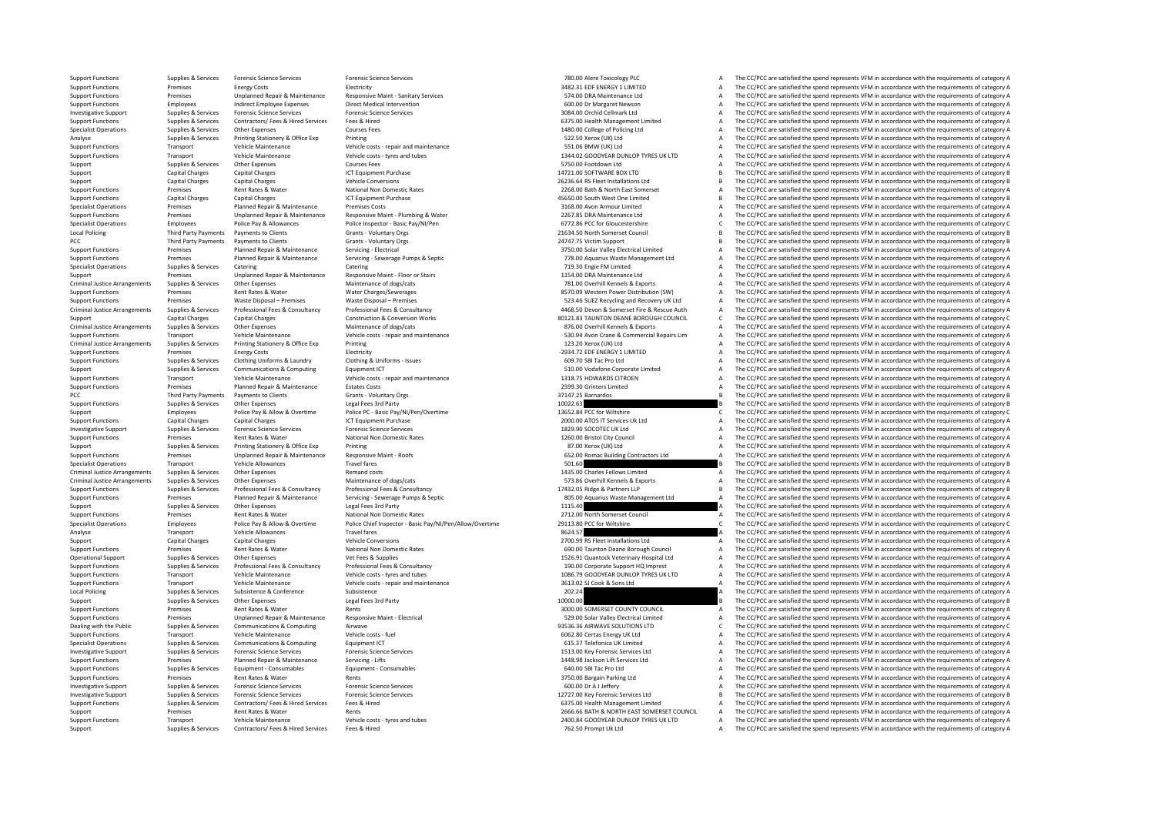Support Functions Supplies & Services Forensic Science Services Forensic Science Services Forensic Science Services Forensic Science Services Forensic Science Services and the Support Functions and The CC/PCC are satisfied Support Functions Premises Energy Costs Electricity Bectricity Support Electricity 3482.31 EDF ENERGY 1 LIMITED A The CC/PCC are satisfied the spend represents VFM in accordance with the requirements of category A Support ST4.00 DRA Maintenance Ltd **A** The CC/PCC are satisfied the spend represents VFM in accordance with the requirements of category A The CC/PCC are satisfied the spend represents VFM in accordance with the requirements of c Support Functions Employees Indirect Employee Expenses Direct Medical Intervention 600.00 Dr Margaret Newson A The CC/PCC are satisfied the spend represents VFM in accordance with the requirements of category A The CC/PCC Investigative Support Support Support Support Support Support Support Support Services Forensic Services Services Services Services Services Services Services Services Services Services Services Services Services Services Support Functions Supplies & Services Contractors/ Fees & Hired Services Fees & Hired Services Fees & Hired A The COPC are satisfied the spend represents VFM in accordance with the requirements of category A Specialist Operations Supplies & Services Other Expenses Courses Fees Courses Fees 1480.00 College of Policing Ltd A The CC/PCC are satisfied the spend represents VFM in accordance with the requirements of category A Analyse Supplies Services Printing Stationery & Office Exp Printing Stationery A Office Exp Printing 522.50 Xerox (UK) Ltd A The CC/PCC are satisfied the spend represents VFM in accordance with the requirements of category SS1.06 BMW (UK) Ltd COVEC ART TRANSPORT TRANSPORT ART TRANSPORT OF CONSUMING A The CC/PCC are satisfied the spend represents VFM in accordance with the requirements of category A The CC/PCC are satisfied the spend represen Support Functions Transport Vehicle Maintenance Vehicle costs - tyres and tubes 1344.02 GOODYEAR DUNLOP TYRES UK LTD A The CC/PCC are satisfied the spend represents VFM in accordance with the requirements of category A Support Supplies & Services Other Expenses Courses Fees Courses Fees Courses Fees Courses Fees Courses Fees Courses Fees Courses Fees Courses Fees Courses Courses Courses Courses Fees Courses Fees Courses Fees Courses Fees Support Capital Charges Capital Charges Capital Charges ICT Equipment Purchase 14721.00 SOFTWARE BOX LTD SOFTWARE BOX LTD B The CC/PCC are satisfied the spend represents VFM in accordance with the requirements of category Support Capital Charges Capital Charges Capital Charges Vehicle Conversions 20236.64 Produce 26236.64 RS Fleet Installations Ltd B The CC/PCC are satisfied the spend represents VFM in accordance with the requirements of ca Support Functions Premises Rent Rates & Water National Non Domestic Rates Rates 2268.00 Bath & North East Somerset A The CC/PCC are satisfied the spend represents VFM in accordance with the requirements of category A Suppo Capital Charges Capital Charges Capital Charges Capital Charges Capital Charges ICT Equipment Purchase 45650.00 South West One Limited A The CC/PCC are satisfied the spend represents VFM in accordance with the requirements Specialist Operations Premises Planned Repair & Maintenance Premises Costs Premises Costs 3168.00 Avon Armour Limited A The CC/PCC are satisfied the spend represents VFM in accordance with the requirements of category A Su Support Functions Premises Unplanned Repair & Maintenance Responsive Maint - Plumbing & Water 2267.85 DRA Maintenance Ltd A The CC/PCC are satisfied the spend represents VFM in accordance with the requirements of category Specialist Operations Employees Police Pay & Allowances Police Inspector - Basic Pay/NI/Pen Specialist Police Inspection of the CC/PCC are satisfied the spend represents VFM in accordance with the requirements of category Local Policing Third Party Payments Payments Occurs Scants Voluntary Orgs Grants - Voluntary Orgs 21634.50 North Somerset Council B The CC/PCC are satisfied the spend represents VFM in accordance with the requirements of c PCC Third Party Payments Payments Octins Payments of Clients Grants - Voluntary Orgs 24747.75 Victim Support 24747.75 Victim Support B The CC/PCC are satisfied the spend represents VFM in accordance with the requirements o Support Functions Premises Planned Repair & Maintenance Servicing ‐ Electrical 3750.00 Solar Valley Electrical Limited A The CC/PCC are satisfied the spend represents VFM in accordance with the requirements of category A S Premises Planned Repair & Maintenance Servicine - Serverage Pumps & Septic COPC Care 2010 278.00 Aquarius Waste Management Ltd A The CC/PCC are satisfied the spend represents VFM in accordance with the requirements of cate Specialist Operations Supplies & Services Catering Catering Catering Catering Catering Catering Catering Catering Catering Catering Catering Catering Catering The CC/PCC are satisfied the spend represents VFM in accordance Support Premises Unplanned Repair & Maintenance Responsive Maint - Floor or Stairs and the states 1154.00 DRA Maintenance Ltd A The CC/PCC are satisfied the spend represents VFM in accordance with the requirements of categ The CC/PCC are satisfied the spend represents VFM in accordance with the requirements of category A Support Functions Premises Rent Rates & Water Water Water Water Charges/Sewerages 8570.09 Western Power Distribution (SW) A The CC/PCC are satisfied the spend represents VFM in accordance with the requirements of category Support Functions Premises Waste Disposal – Premises Waste Disposal – Premises Waste Disposal – Premises Waste Disposal – Premises Waste Disposal – Premises Waste Disposal – Premises Functions Premises Waste Disposal – Pre 4468.50 Devon & Somerset Fire & Rescue Auth A The CC/PCC are satisfied the spend represents VFM in accordance with the requirements of category A<br>80121.83 TAUNTON DEANE BOROUGH COUNCIL C The CC/PCC are satisfied the spend Support Capital Charges Capital Charges Capital Charges Construction & Conversion Works 80121.83 TAUNTON DEANE BOROUGH COUNCIL C The CC/PCC are satisfied the spend represents VFM in accordance with the requirements of cate Criminal Justice Arrangements Supplies & Services Other Expenses Maintenance of dogs/cats Maintenance of Maintenance of Maintenance of Maintenance of Maintenance and maintenance and the CONCO overhill Kennels & Exports A T Transport Vehicle Maintenance Vehicle costs - repair and maintenance values and the CONCOLOGY CHANNET SALES (PCC are satisfied the spend represents VFM in accordance with the requirements of category A<br>Sunnline & Services Criminal Justice Arrangements Supplies & Services Printing Stationery & Office Exp Printing 123.20 Xerox 123.20 Xerox (UK) Ltd A The CC/PCC are satisfied the spend represents VFM in accordance with the requirements of cate Support Functions Premises Energy Costs Functions Functions Functions Premises Energy Costs Energy Costs Electricity Functions Premises Energy Costs Functions Functions Premises Energy Costs Functions Functions Functions P Support Functions Supplies & Services Clothing Uniforms & Laundry Clothing & Uniforms - Issues Computing A Uniforms - Issues Computing Uniforms - Issues 609.70 SBI Tac Pro Ltd A The CC/PCC are satisfied the spend represent Support Supplies & Services Communications & Computing Equipment ICT Equipment ICT 510.00 Vodafone Corporate Limited A The CC/PCC are satisfied the spend represents VFM in accordance with the requirements of category A Veh Support Functions Transport Vehicle Maintenance Vehicle costs - repair and maintenance vehicle costs - repair and maintenance vehicle costs - repair and maintenance 1318.75 HOWARDS CITROEN A The CC/PCC are satisfied the sp Premises Planned Repair & Maintenance Estates Costs 2599.30 Grinters 2599.30 Grinters Limited A The CC/PCC are satisfied the spend represents VFM in accordance with the requirements of category A PCC Third Party Payments Payments Occurs Services Services Services States of Cranks Occurs Services Services States of Cranks Cranks Controllers of Cranks of Cranks Cranks Cranks Cranks Cranks Cranks and Developers and De Supplies & Supplies Services Other Expenses Legal Fees 3rd Party 1002.<br>Support Functions Support Devices Device Party 1002.63 B The CC/PCC are satisfied the spend represents VFM in accordance with the requirements of categ Support Employees Police Pay & Allow & Overtime Police PC ‐ Basic Pay/NI/Pen/Overtime 13652.84 PCC for Wiltshire 13652.84 PCC for Wiltshire C The CC/PCC are satisfied the spend represents VFM in accordance with the require Support Functions Capital Charges Capital Charges ICT Equipment Purchase 2000.00 ATOS IT Services Uk Ltd A The CC/PCC are satisfied the spend represents VFM in accordance with the requirements of category A The Crime Servi Investigative Support Supplies & Services Forensic Science Services Forensic Science Services Forensic Science Services Forensic Science Services and the companic Supplies are equirements of category A The CC/PCC are satis Support Functions Premises A The CC/PCC are satisfied the spend represents VFM in accordance with the requirements of category A The CC/PCC are satisfied the spend represents VFM in accordance with the requirements of cate Support Supplies & Services Printing Stationery & Office Exp Printing Maint - Roofs Printing Bationery & Office Exp Printing Printing Maint - Roofs and the Stationer of the CC/PCC are satisfied the spend represents VFM in Support Functions Premises Unplanned Repair & Maintenance Responsive Maint - Roofs 652.00 Romac Building Contractors Ltd A The CC/PCC are satisfied the spend represents VFM in accordance with the requirements of category A Specialist Operations Transport Sunnings Vehicle Allowances Travel fares Travel fares Travel fares Travel fares Travel fares Travel fares Travel fares Specialist Operations and the CC/PCC are satisfied the spend represents Criminal Justice Arrangements Supplies & Services Other Expenses Maintenance of dogs/cats Remand costs 1435.00 Charles Fellows Limited A The CC/PCC are satisfied the spend represents VFM in accordance with the requirements Supplies & Services Other Expenses On Maintenance of dogs/cats Maintenance of dogs/cats Maintenance of dogs/cats Maintenance of dogs/cats Maintenance of dogs/cats Maintenance of dogs/cats Maintenance of dogs/cats Maintenan Supplies & Services Professional Fees & Consultancy Professional Fees & Consultancy Professional Fees & Consultancy Professional Fees & Consultancy Professional Fees & Consultancy Professional Fees & Consultancy Profession Support Functions Premises Punned Repair Support Support Support and the Support and the support and the support and the support and the equilibration of the property of the property of the property of the property of th Support Support Support Support Support Support Support Support Support Support Support Support Support Support Support Support Support Support Support Support Support Support Support Support Support Support Support Suppor Support Functions Premises Rent Rates Rent Rates Rent Rates National Non Domestic Rates Rates 2712.00 North Somerset Council A The CC/PCC are satisfied the spend represents VFM in accordance with the requirements of catego Specialist Operations Employees Police Pay & Allow & Overtime Police Chief Inspector - Basic Pay/NI/Pen/Allow/Overtime 29113.80 PCC for Wiltshire 2013.80 PCC for Wilshire CC/PCC are satisfied the spend represents VFM in ac Analyse Transport Vehicle Allowances Travel fares Travel fares Travel fares Travel fares Travel fares Travel fares Travel fares and the COLOGING TRAVEL CONSULTER CONSULTER TRAVEL A SUBSTITUTE ON THE CONSULTER A THE COPCC a Support Capital Charges Capital Charges Vehicle Conversions Vehicle Conversions 2700.99 RS Fleet Installations Ltd A The CC/PCC are satisfied the spend represents VFM in accordance with the requirements of category A Support Functions Premises Rent Rates & Water National Non Domestic Rates 690.00 Taunton Deane Borough Council A The CC/PCC are satisfied the spend represents VFM in accordance with the requirements of category A Operational Support Supplies Services Other Expenses Vet Fees & Supplies Vet Fees & Supplies Vet Fees & Supplies Veterinary Associal Channel Supplies 1526.91 Quantock Veterinary Hospital Ltd A The CC/PCC are satisfied the The CC/PCC are satisfied the spend represents VFM in accordance with the requirements of category A Support Functions Transport Vehicle Maintenance Vehicle costs - tyres and tubes 1086.79 GOODYEAR DUNLOP TYRES UK LTD A The CC/PCC are satisfied the spend represents VFM in accordance with the requirements of category A Support Transport Vehicle Maintenance Vehicle costs ‐ repair and maintenance 3613.02 SJ Cook & Sons Ltd A The CC/PCC are satisfied the spend represents VFM in accordance with the requirements of category A Local Policing Supplies Supplies & Services Subsistence Subsistence Subsistence Subsistence Subsistence Subsistence 202.24 A The CC/PCC are satisfied the spend represents VFM in accordance with the requirements of category Support Supplies & Services Other Expenses Legal Fees 3rd Party 10000.00 COMERSET COUNTY COUNCILL THE CC/PCC are satisfied the spend represents VFM in accordance with the requirements of category B<br>The CC/PCC are satisfied Support Functions Premises Rent Rates & Water Rents Rents Rents Rents Rents Rents Rents Rents and the COUNTY COUNCIL A The CC/PCC are satisfied the spend represents VFM in accordance with the requirements of category A The The CC/PCC are satisfied the spend represents VFM in accordance with the requirements of category A Dealing with the Public Supplies & Services Communications & Computing Airwave Airwave 93536.36 AIRWAVE SOLUTIONS LTD C The CC/PCC are satisfied the spend represents VFM in accordance with the requirements of category C Support Transport Vehicle Maintenance Vehicle costs – fuel expendix a support of category and represents a The CC/PCC are satisfied the spend represents VFM in accordance with the requirements of category A Specialist Operations Supplies Supplies Communications & Computing Equipment ICT 615.37 Telefonica UK Limited A The CC/DCC are satisfied the spend represents VFM in accordance with the requirements of category A The CC/DCC Investigative Support Supplies & Services Forensic Science Services Forensic Science Services Forensic Science Services Forensic Science Services and the COPCC are satisfied the spend represents VFM in accordance with the Support Functions Premises Planned Repair & Maintenance Servicing - Lifts Servicing Lifts 1448.98 Jackson Lift Services Ltd A The CC/PCC are satisfied the spend represents VFM in accordance with the requirements of categor Support Functions Functions Support Functions Equipment Functions Consuments of Consument Consumables Equipment Functions Consumables Equipment Functions and the Services Equipment Consumables Consuments of category A The Support Functions Premises Rent Rates & Water Rents Rents Rents Rents Rents Rents Rents Rents A The CC/PCC are satisfied the spend represents VFM in accordance with the requirements of category A Investigative Support Supplies & Services Forensic Science Services Forensic Science Services Forensic Science Services Forensic Science Services and the Support Support Support Support Support Support Support Support Supp Supplies & Services Forensic Science Services Forensic Science Services Forensic Science Services Forencis Science Services environment of category B and the COPCC are satisfied the spend represents VFM in accordance with Support Functions Suppliers & Services Contractors/ Fees & Hired Services Fees & Hired 6375.00 Health Management Limited A The CC/PCC are satisfied the spend represents VFM in accordance with the requirements of category A Support Premises Support Rent Rents And the Company of Rents Rents Rents Rents Rents Rents Rents Rents Rents Rents 266.66 BATH ANORTH EAST SOMERSET COUNCIL A The CC/PCC are satisfied the spend represents VFM in accordance Support Functions Transport Vehicle Maintenance Vehicle costs - tyres and tubes 2400.84 GOODYEAR DUNLOP TYRES UK LTD A The CC/PCC are satisfied the spend represents VFM in accordance with the requirements of category A Sup The CC/PCC are satisfied the spend represents VFM in accordance with the requirements of category A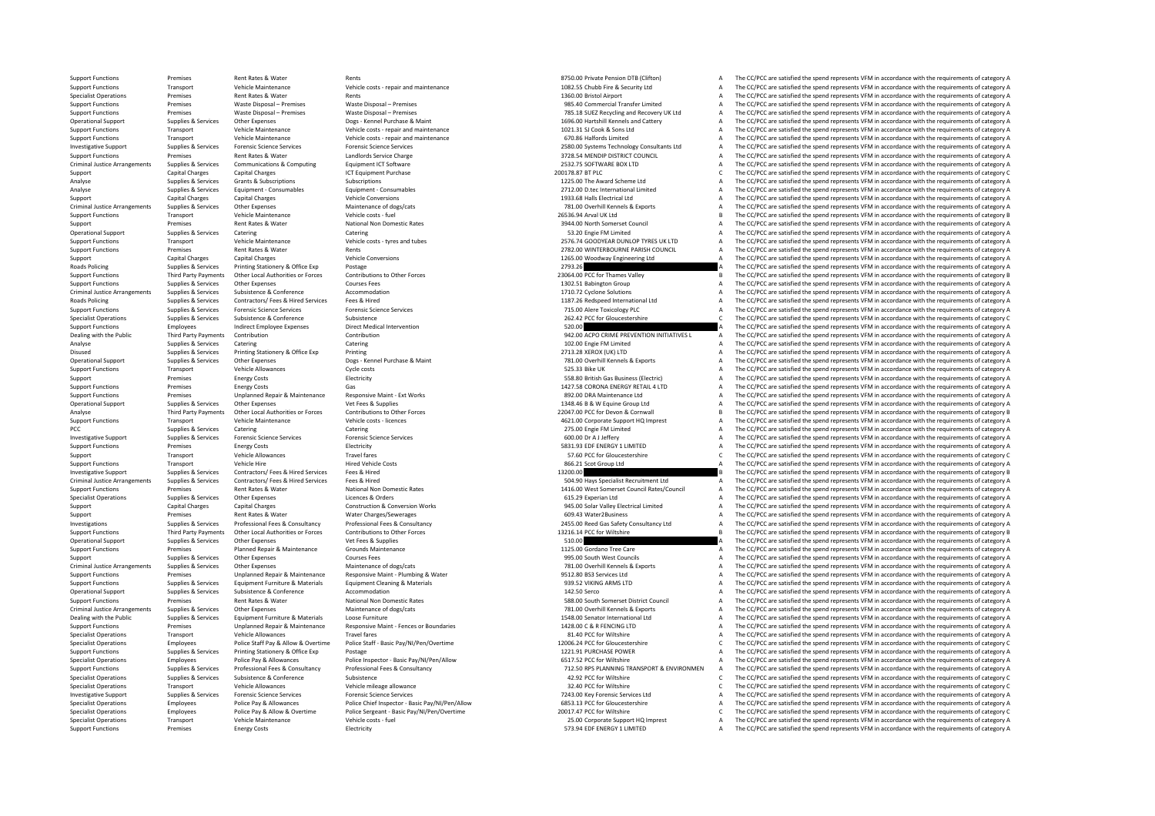Support Functions Premises Rent Rates & Water Rents Rents Rents Rents Rents Rents Rents Rents Rents Rents Rent Rents Rents Rents Rents Rents Rents Rents Rents Rent Rents Rents Rents Rents Rents Rents Rents Rents Rent Rents

Support Functions Transport Vehicle Maintenance Vehicle costs ‐ repair and maintenance vehicle costs ‐ repair and maintenance vehicle costs ‐ repair and maintenance and the cost of category A The CC/PCC are satisfied the s Specialist Operations Premises A The CC/PCC are satisfied the spend represents VFM in accordance with the requirements of category A The CC/PCC are satisfied the spend represents VFM in accordance with the requirements of Support Functions Premises Waste Disposal – Premises Waste Disposal – Premises Waste Disposal – Premises Waste Disposal – Premises Waste Disposal – Premises Waste Disposal – Premises Waste Disposal – Premises Waste Disposa Support Functions Premises Waste Disposal – Premises Waste Disposal – Premises Waste Disposal – Premises Waste Disposal – Premises Waste Disposal – Premises Waste Disposal – Premises 785.18 SUEZ Recycling and Recovery UK L Contained Supplies Services Services Other Expenses Dops Kennel Purchase & Maint Contained Maint Contained the Services Dops Associated the Spental Cattern and Cattern Associated the spend represents VFM in accordance with Support Functions Transport Vehicle Maintenance Vehicle costs - repair and maintenance 1021.31 SJ Cook & Sons Ltd A The CC/PCC are satisfied the spend represents VFM in accordance with the requirements of category A Support Functions Transport Vehicle Maintenance Vehicle costs - repair and maintenance Vehicle costs - repair and maintenance a Support Functions and the CC/PCC are satisfied the spend represents VFM in accordance with the 2580.00 Systems Technology Consultants Ltd A The CC/PCC are satisfied the spend represents VFM in accordance with the requirements of category A<br>3728.54 MENDIP DISTRICT COUNCIL A The CC/PCC are satisfied the spend represen Support Functions Premises Rent Rates & Water Landlords Service Charge Structure Charge 3728.54 MENDIP DISTRICT COUNCIL A The CC/PCC are satisfied the spend represents VFM in accordance with the requirements of category A Criminal Justice Arrangements Supplies & Services Communications & Computing Equipment ICT Software Equipment Content Content Content Content Content Content Content Content Content Content Content Content Content Content Support Capital Charges Capital Charges ICT Equipment Purchase 2017 20178.87 BTPLC 20178.87 BTPLC 20178.87 BT PLC CONTERN CONTERN CONTERN CONTERN CONTERN CONTERN CHARGES ON CHARGES AND ENGLISION CONTERN CONTERN CHARGES AND Analyse Supplies Analyse Services Grants & Subscriptions Subscriptions Subscriptions Subscriptions Subscriptions Subscriptions Subscriptions and the Mark Scheme Ltd A The CC/PCC are satisfied the spend represents VFM in ac Analyse Supplies Services Equipment - Consumables Equipment - Consumables Equipment - Consumables Equipment - Consumables 2712.00 D.tec International Limited A The CC/PCC are satisfied the spend represents VFM in accordanc Support Charges Capital Charges Capital Charges Charges Charges Capital Charges Vehicle Conversions 1933.68 Halls Electrical Ltd A The CC/PCC are satisfied the spend represents VFM in accordance with the requirements of c Criminal Justice Arrangements Supplies & Services Other Expenses Maintenance of dogs/cats Maintenance of dogs/cats Maintenance of dogs/cats and the control of the COPCC are satisfied the spend represents VFM in accordance Support Functions Transport Vehicle Maintenance Vehicle costs - fuel Vehicle costs - fuel Vehicle costs - fuel<br>26536.94 Arval UK Ltd B The CC/PCC are satisfied the spend represents VFM in accordance with the requirements o Support Premises Rent Rates & Water National Non Domestic Rates 3944.00 North Somerset Council A The CC/PCC are satisfied the spend represents VFM in accordance with the requirements of category A Operational Support Supplies & Services Catering Catering 53.20 Engie FM Limited <sup>A</sup> The CC/PCC are satisfied the spend represents VFM in accordance with the requirements of category A Support Functions Transport Vehicle Maintenance Vehicle costs - tyres and tubes 2576.74 GOODYEAR DUNLOP TYRES UK LTD A The CC/PCC are satisfied the spend represents VFM in accordance with the requirements of category A Sup Examises Premises Rent Rents Rents Rents Rents Rents Rents Rents Rents Rents Rents Rents Rent Rents Rent Rents<br>Capital Charges Capital Charges Capital Charges Vehicle Conversions Vehicle Conversions Vehicle Conversions Veh Support Capital Charges Capital Charges Vehicle Conversions Vehicle Conversions 1265.00 Woodway Engineering Ltd A The CC/PCC are satisfied the spend represents VFM in accordance with the requirements of category A Roads Policing Supplies & Services Printing Stationery & Office Exp Postage Postage Printing Stationery & Office Exp Postage 2793.26 A The CC/PCC are satisfied the spend represents VFM in accordance with the requirements o Other Local Authorities or Forces Contributions to Other Forces Contributions to Other Forces Contributions to Other Forces Contributions to Other Forces Contributions to Other Forces Contributions to Other Forces and the support Functions Supplies Other Expenses Courses Fees 1302.51 Babington Group A The CC/PCC are satisfied the spend represents VFM in accordance with the requirements of category A The CC/PCC are satisfied the spend repres Criminal Justice Arrangements Supplies & Services Subsistence & Conference Accommodation Accommodation 1710.72 Cyclone Solutions Accommodation 1710.72 Cyclone Solutions A The CC/PCC are satisfied the spend represents VFM i Roads Policing Supplies & Services Contractors/ Fees & Hired Fees & Hired Fees & Hired Fees & Hired Present Contractors/ Fees & Hired Fees & Hired Presents are a many part of the contractors/ Fees and Engine Reservice Cont The  $C$ C/PCC are satisfied the spend represents VFM in accordance with the requirements of category  $\Delta$ Specialist Operations Supplies & Services Subsistence Subsistence Subsistence Subsistence Subsistence Subsistence Subsistence C Subsistence C Subsistence C Subsistence C Subsistence C Subsistence C Subsistence C Subsistenc Support Functions Employees Indirect Employee Expenses Direct Medical Intervention Direct Medical Intervention<br>
942.00 ACPO CRIME PREVENTION INITATIVES A The CC/PCC are satisfied the spend represents VFM in accordance with The CC/PCC are satisfied the spend represents VFM in accordance with the requirements of category A Analyse Supplies Services Catering Catering Catering Catering Catering Catering Catering Catering Catering Catering Catering Catering Catering and the CC/PCC are satisfied the spend represents VFM in accordance with the re Disused Supplies & Services Printing Stationery & Office Exp Printing 2000 a 2000 a 2000 a 2000 a 2000 a 2000 a 2000 a 2000 a 2000 a 2000 a 2000 a 2000 a 2000 a 2000 a 2000 a 2000 a 2000 a 2000 a 2000 a 2000 a 2000 a 2000 Operational Support Support Support Other Expenses Dogs – Kennel Purchase & Maint 781.00 Overhill Kennels & Exports A The CC/PCC are satisfied the spend represents VFM in accordance with the requirements of category A Support Functions Transport Vehicle Allowances Cycle costs Cycle costs Support Cycle Costs Cycle costs Search of the Cycle and the Cycle are satisfied the spend represents VFM in accordance with the requirements of categor Support Premises Energy Costs Electricity Electricity Electricity Electricity Electricity and the CONCES Electricity and the CC/PCC are satisfied the spend represents VFM in accordance with the requirements of category A T Premises Energy Costs Cas Cases Gas Corona ENERGY RETAIL 4 LTD A The CC/PCC are satisfied the spend represents VFM in accordance with the requirements of category A Support Functions Premises Premises Unplanned Repair & Maintenance Responsive Maint - Ext Works 892.00 DRA Maintenance Ltd A The CC/PCC are satisfied the spend represents VFM in accordance with the requirements of category Operational Support Suppliers Support Support Other Expenses Vet Fees & Supplies Vet The Support of Contents of category A The CC/PCC are satisfied the spend represents VFM in accordance with the requirements of category A Third Party Payments Other Local Authorities or Forces Contributions to Other Forces Contributions to Other Forces Contributions to Check and the CONCO PCC for Devon & Connual Burget Conces Burget Burget Burget Burget Burg Support Functions Transport Wehicle Maintenance Vehicle costs - licences vehicle costs - licences 4621.00 Corporate Support HQ Imprest A The CC/PCC are satisfied the spend represents VFM in accordance with the requirements PCC Supplies & Services Catering Catering Catering Catering Catering Catering Catering Catering Catering Catering Catering Catering a Democratic PC/PCC are satisfied the spend represents VFM in accordance with the requirem Inversion Support Support Support Support Support The Support Support Support Support Science Service Services For<br>Support Support Support A The CC/PCC are satisfied the spend represents VFM in accordance with the requirem Support Functions Premises Energy Costs Energy Costs Electricity Electricity Electricity Electricity Sample of the Support Electricity Sample of the CC/PCC are satisfied the spend represents VFM in accordance with the requ Support Transport Vehicle Allowances Travel fares Travel fares Travel fares Travel fares Travel fares Travel fares Travel fares C The CC/PCC are satisfied the spend represents VFM in accordance with the requirements of cat Transport Vehicle Hire Hired Vehicle Costs 866.21 Scot Group Ltd A The CC/PCC are satisfied the spend represents VFM in accordance with the requirements of category A Investigative Support Supplies & Services Contractors/ Fees & Hired Services Fees & Hired Services Fees & Hired 13200.00 B The CC/PCC are satisfied the spend represents VFM in accordance with the requirements of category B Contractors/Fees & Hired Services Frees & Hired Material Presents of category A SO4.90 Hays Specialist Recruitment Ltd The CC/PCC are satisfied the spend represents VFM in accordance with the requirements of category A 141 Support Functions Premises Rent Rates & Water National Non Domestic Rates 1416.00 West Somerset Council Rates/Council A The CC/PCC are satisfied the spend represents VFM in accordance with the requirements of category A Specialist Operations Supplies & Services Other Expenses Licences & Orders Licences & Orders A Dreation Morks Controllering and the COLL A The CC/PCC are satisfied the spend represents VFM in accordance with the requiremen Support Capital Charges Capital Charges Capital Charges Construction & Conversion Works 945.00 Solar Valley Electrical Limited A The CC/PCC are satisfied the spend represents VFM in accordance with the requirements of cate Support Premises Rent Rates & Water Water Charges/Sewerages 609.43 Water2Business A The CC/PCC are satisfied the spend represents VFM in accordance with the requirements of category A Investigations Supplies & Services Professional Fees & Consultancy Professional Fees & Consultancy except and a manufacture of the COMER 2455.00 Reed Gas Safety Consultancy Ltd A The CC/PCC are satisfied the spend represen Support Functions Third Party Payments Other Iocal Authorities or Forces Contributions to Other Forces Contributions to Other Forces and the Contributions of the CONCES of the CONCES are satisfied the spend represents VFM The CC/PCC are satisfied the spend represents VFM in accordance with the requirements of category A Support Functions Premises Planned Repair & Maintenance Grounds Maintenance Grounds Maintenance 1125.00 Gordano Tree Care A The CC/PCC are satisfied the spend represents VFM in accordance with the requirements of category Support Supplies & Services Other Expenses Courses Fees Courses Fees Courses Fees Courses Fees Provides Courses Fees A The CC/PCC are satisfied the spend represents VFM in accordance with the requirements of category A The The CC/PCC are satisfied the spend represents VFM in accordance with the requirements of category A Support Functions Premises Unplanned Repair & Maintenance Responsive Maint • Plumbing & Water 9512.80 BS3 Services Ltd A The CC/PCC are satisfied the spend represents VFM in accordance with the requirements of category A Supplies & Services Equipment Furniture & Materials Equipment Cleaning & Materials Equipment Cleaning & Materials Equipment Cleaning & Materials and the CONSCRIP CLAR The CC/PCC are satisfied the spend represents VFM in ac Operational Support Supplies & Services Subsistence Supportere Accommodation Accommodation Accommodation 142.50 Serco 142.50 Serco Accommodation 142.50 Serco ACC/PCC are satisfied the spend represents VFM in accordance wit Support Functions Premises Rent Rates Rent Rates Rent Rates National Non Domestic Rates National Non Domestic Rates<br>The CC/PCC are satisfied the spend represents VFM in accordance with the requirements of category A The CC Criminal Justice Arrangements Supplies & Services Other Expenses Maintenance of dogs/cats Maintenance of dogs/cats Maintenance of dogs/cats and the CONSTANT MAING THE CONSTANT CONTENT A The CC/PCC are satisfied the spend r 1548.00 Senator International Ltd **A** The CC/PCC are satisfied the spend represents VFM in accordance with the requirements of category A<br>1428.00 C & R FENCING LTD **A** The CC/PCC are satisfied the spend represents VFM in a Support Functions Premises Unplanned Regair & Maintenance Responsive Maint - Fences or Boundaries 2000 ACL 1428.00 C & R FENCING LTD A The CC/PCC are satisfied the spend represents VFM in accordance with the requirements o Specialist Operations Transport Vehicle Allowances Travel fares and the specialist Operations and the productions and the equirement of the computations and the production of the computations of the requirements of categor Specialist Operations Employees Police Staff Pay & Allow & Overtime Police Staff - Basic Pay/NV/Pen/Overtime<br>
Support Functions Supplies & Services Printing Stationery & Office Exp Postage Postage Postage Postage Postage P Postage **Supplies A The CC/PCC** are satisfied the spend represents VFM in accordance with the requirements of category A The CC/PCC are satisfied the spend represents VFM in accordance with the requirements of category A Specialist Operations Employees Police Pay & Allowances Police Inspector - Basic Pay/N/Pen/Allow Chat Contagne<br>Supplies & Services Professional Fees & Consultancy Professional Fees & Consultancy Consultancy Professional Fe 712.50 RPS PLANNING TRANSPORT & ENVIRONMEN A The CC/PCC are satisfied the spend represents VFM in accordance with the requirements of category A<br>42.92 PCC for Wiltshire expanding C The CC/PCC are satisfied the spend repres Specialist Operations Supplies & Services Subsistence Subsistence Subsistence Subsistence and Subsistence and Subsistence and Subsistence and Are a specialistic C The CC/PCC are satisfied the spend represents VFM in accord Specialist Operations Transport Vehicle Allowances Vehicle mileage allowance Vehicle mileage allowance Vehicle mileage allowance Specialist C The CC/PCC are satisfied the spend represents VFM in accordance with the require Investigative Support Supplies & Services Forensic Science Services Forensic Science Services Forensic Science Services Forensic Science Services of The COPCC are satisfied the spend represents VFM in accordance with the r Employees Police Pay & Allowances Police Chief Inspector - Basic Pay/NI/Pen/Allow 6853.13 PCC for Gloucestershire Assessment CFC/PCC are satisfied the spend represents VFM in accordance with the requirements of category A Specialist Operations Employees Police Pay & Allow & Overtime Police Sergeant - Basic Pay/NI/Pen/Overtime and DOITEN 20017.47 PCC for Wiltshire 20017.47 PCC for Wiltshire COVITC The CC/PCC are satisfied the spend represent Specialist Operations Transport Vehicle Maintenance Vehicle costs - fuel 25.00 Corporate Support HQ Imprest A The CC/PCC are satisfied the spend represents VFM in accordance with the requirements of category A Support HQ I The CC/PCC are satisfied the spend represents VFM in accordance with the requirements of category A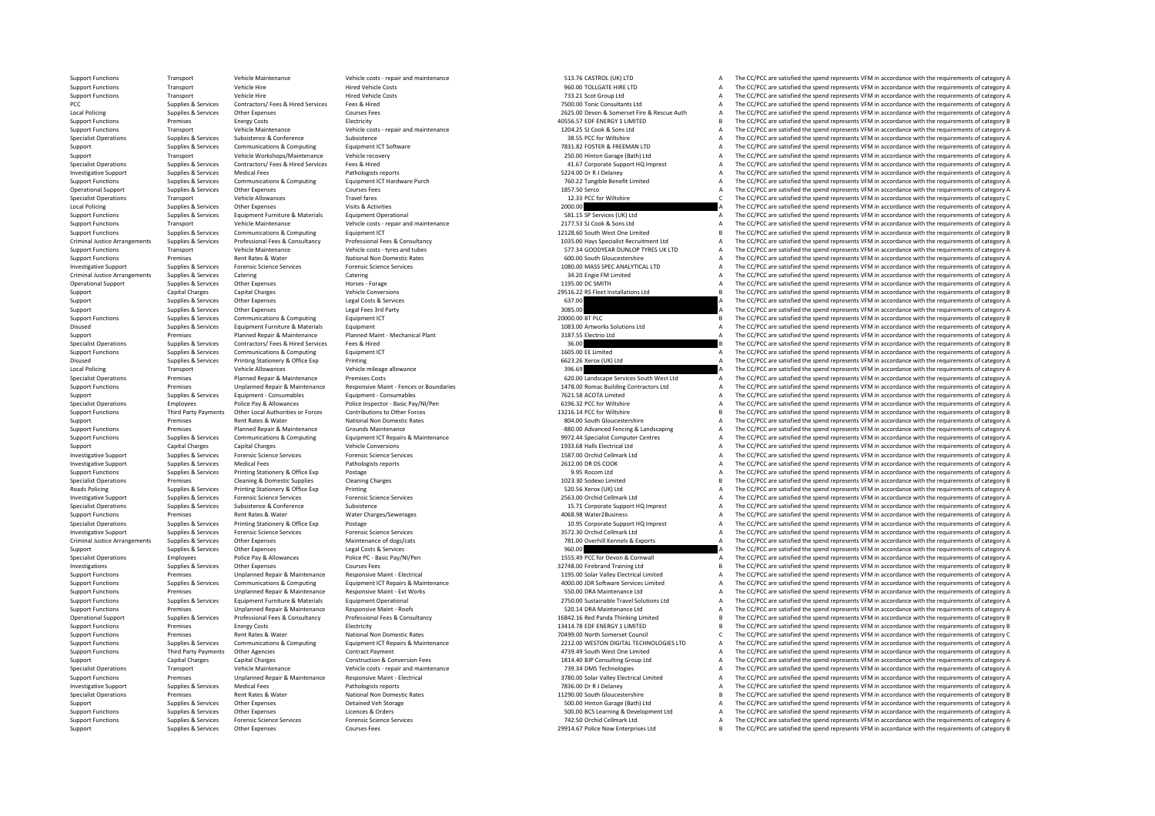Support Functions Transport Vehicle Maintenance Vehicle costs - repair and maintenance Support CASTROL (UK) LTD A The CC/PCC are satisfied the spend represents VFM in accordance with the requirements of category A The CO/P Support Functions Transport Vehicle Hire Microsoft Hired Vehicle Costs and the Hired Vehicle Costs 960.00 TOLLGATE HIRE LTD A The CC/PCC are satisfied the spend represents VFM in accordance with the requirements of categor The CC/PCC are satisfied the spend represents VFM in accordance with the requirements of category A PCC Supplies & Supplies Supplies Contractors/ Fees & Hired Services Fees & Hired Services Fees & Hired Services Fees & Hired Services Fees & Hired Services Fees & Hired Services Fees & Hired Services Fees & Hired Services Local Policing Supplies Services Other Expenses Courses Fees 2007 and the Service Auth A The CC/PCC are satisfied the spend represents VFM in accordance with the requirements of category A The CC/PC are satisfied the spend Support Functions Premises Energy Costs Electricity Functions Electricity and the Support of category B The COPCC are satisfied the spend represents VFM in accordance with the requirements of category B Support Functions Transport Vehicle Maintenance Vehicle costs - repair and maintenance 1204.25 SJ Cook & Sons Ltd A The CC/PCC are satisfied the spend represents VFM in accordance with the requirements of category A Specialist Operations Supplies & Services Subsistence Subsistence Subsistence Subsistence Subsistence Subsistence Subsistence Subsistence Subsistence Subsistence Subsistence Subsistence Subsistence Subsistence Subsistence The  $CC/PCC$  are satisfied the spend represents VFM in accordance with the requirements of category A Support Transport Vehicle Workshops/Maintenance Vehicle recovery 250.00 Hinton Garage (Bath) Ltd A The CC/PCC are satisfied the spend represents VFM in accordance with the requirements of category A Specialist Operations Supplies & Services Contractors/Fees & Hired Services Fees & Hired Proceedia Proceedial Contractions and the CC/PCC are satisfied the spend represents VFM in accordance with the requirements of catego Investigative Support Support Support Medical Fees Pathologists reports Services Medical Fees Pathologists reports 5224.00 Dr R J Delaney A The CC/PCC are satisfied the spend represents VFM in accordance with the requireme Supplies & Services Communications & Computing Equipment ICT Hardware Purch Manage and The CZ/PCC are satisfied the spend represents VFM in accordance with the requirements of category A Operational Support Supplies & Services Other Expenses Courses Fees Courses Fees Courses Courses Fees 1857.50 Serco A The CC/PCC are satisfied the spend represents VFM in accordance with the requirements of category A Tran  $\footnotesize \begin{array}{c} \text{Tase:} \\ \text{Tase:} \\ \text{Supplies} \\ \text{Supplies} \\ \text{Supplies} \\ \text{Supplies} \\ \text{SupThese} \\ \text{Supplies} \\ \text{SupThese} \\ \text{SupThese} \\ \text{SupThese} \\ \text{SupThese} \\ \text{SupThese} \\ \text{SupImage:} \\ \text{SupImage:} \\ \text{SupImage:} \\ \text{SupImage:} \\ \text{SupImage:} \\ \text{SupImage:} \\ \text{SupImage:} \\ \text{SupImage:} \\ \text{SupImage:} \\ \text{SupImage:} \\ \text{SupImage:} \\ \text{SupImage:$ Local Policing Supplies Services Other Expenses Wisits & Activities (Visits Activities Other Expenses Visits & Activities 2000.00 A The CC/PCC are satisfied the spend represents VFM in accordance with the requirements of c Support Functions Supplies & Services Equipment Furniture & Materials Equipment Operational Equipment Operational Services (UK) Ltd A The CC/PCC are satisfied the spend represents VFM in accordance with the requirements of Support Functions Transport Vehicle Maintenance Vehicle costs - repair and maintenance vehicle costs - repair and maintenance 2177.53 SJ Cook & Sons Ltd A The CC/PCC are satisfied the spend represents VFM in accordance wit Support Functions Supplies & Services Communications & Computing Equipment ICT Equipment ICT 12128.60 South West One Limited B The CC/PCC are satisfied the spend represents VFM in accordance with the requirements of catego Criminal Justice Arrangements Supplies & Services Professional Fees & Consultancy Professional Fees & Consultancy Professional Fees & Consultancy exacts are the consultancy and the special structure and the expecial text i Transport Functions Transport Functions and the control of the spend tubes and tubes and tubes and tubes and tubes and tubes of category A The CC/PCC are satisfied the spend represents VFM in accordance with the requiremen Support Functions Premises Rent Rates & Water National Non Domestic Rates 600.00 South Gloucestershire A The CC/PCC are satisfied the spend represents VFM in accordance with the requirements of category A Investigative Support Supplies & Services Forensic Science Services Forensic Science Services Forensic Science Services Forensic Science Services and the CONCLIFICALLITO A The CC/PCC are satisfied the spend represents VFM Criminal Justice Arrangements of catering Catering Catering Catering Catering Catering Catering Catering Catering Supplies and the CC/PCC are satisfied the spend represents VFM in accordance with the requirements of catego Operational Supplies Services Other Expenses Horses Forage 1195.00 DC SMITH A The CC/PCC are satisfied the spend represents VFM in accordance with the requirements of category A The CC/PCC are satisfied the spend represent Support Capital Charges Capital Charges Capital Charges Vehicle Conversions Vehicle Conversions 29516.22 RS Fleet Installations Ltd B The CC/PCC are satisfied the spend represents VFM in accordance with the requirements of Support Supplies & Services Other Expenses Legal Costs & Services Costs and Services Costs and Costs and Costs and Costs and Costs and Costs and Costs and Costs and Costs and Costs and Costs and Costs and Costs and Costs a Support Support Support Support Support Control Fees and Support Support Support Support Support Support Support Support Support Support Support Support Support Support Support Support Support Support Support Support Suppo Support Functions Supplies & Services Communications & Computing Equipment ICT and the computing Equipment ICT 2000.00 BT PLC 2000.00 BT PLC 2000.00 BT PLC COMMING STATISTIC REST EQUIPORT AND THE CC/PCC are satisfied the s Equipment Furniture & Materials Equipment Equipment Equipment and the CONSTANT CONSTANT CONSTANT OF CONSTANT A THE CONSTANT A THE CONSTANT A THE CONSTANT OF THE SERVICE ARE ARE EQUIPMENT A THE CONSTANT OF CATEGORY ARE PROV Support Premises Planned Repair & Maintenance Planned Maint - Mechanical Plant 3187.55 Electrio Ltd A The CC/PCC are satisfied the spend represents VFM in accordance with the requirements of category A Specialist Operations Supplies & Services Contractors/ Fees & Hired Fees & Hired 36.00 B The CC/PCC are satisfied the spend represents VFM in accordance with the requirements of category B and the requirements of category Support Functions Supplies & Services Communications & Computing Faulty Functions Communications and COMPUT 1605.00 EE Limited A The CC/PC are satisfied the spend represents VFM in accordance with the requirements of categ Disused Supplies & Services Printing Stationery & Office Exp Printing Stationery and The CONSTANTING CONSTANTING CONSTANTING A The CONSTANTING Are satisfied the spend represents VFM in accordance with the requirements of c Local Policing Transport Vehicle Allowances Vehicle mileage allowance Vehicle mileage allowance Vehicle mileage allowance Vehicle mileage allowance Vehicle mileage allowance Vehicle mileage allowance Vehicle mileage allowa Specialist Operations Premises Planned Repair & Maintenance Premises Costs **620.00** Landscape Services South West Ltd A The CC/PCC are satisfied the spend represents VFM in accordance with the requirements of category A Su Premises Unplanned Repair & Maintenance Responsive Maint-Fences or Boundaries and the Section of the CONCO are satisfied the spend represents VFM in accordance with the requirements of category A<br>Supplies & Services Equipm Support Supplies Services Equipment - Consumables Equipment - Consumables Equipment - Consumables Paramables 2021.58 ACOTA Limited A The CC/PCC are satisfied the spend represents VFM in accordance with the requirements of Employees Police Pay & Allowances Police Inspector – Basic Pay/NI/Pen 6196.32 PCC for Wiltshire A The CC/PCC are satisfied the spend represents VFM in accordance with the requirements of category A The CC/PCC are satisfied Support Eurotions Third Darty Daymonts Other Local Authorities or Expres Contributions to Other Encodes Contributions to Other Encodes Contributions to Contributions of catagory R Support Premises Support Premises Rent Rates Rent Rates Rates National Non Domestic Rates Rates 804.00 South Gloucestershire A The CC/PCC are satisfied the spend represents VFM in accordance with the requirements of catego Support Functions Premises Planned Repair & Maintenance Grounds Maintenance Crounds Maintenance Grounds Maintenance<br>
Support Functions Supplies & Services Communications & Computing Equipment ICT Repairs & Maintenance exam Equipment ICT Repairs & Maintenance enterprise on the senal of the spend represents VFM in accordance with the requirements of category A<br>1933.68 Halls Electrical Ltd A The CC/PCC are satisfied the spend represents VFM in Support Capital Charges Capital Charges Capital Charges Vehicle Conversions Vehicle Conversions 1933.68 Halls Electrical Ltd A The CC/PCC are satisfied the spend represents VFM in accordance with the requirements of catego Investigative Support Supplies & Services Forensic Science Services Forensic Science Services Forensic Science Services Forensic Science Services Presence Services Partnel of Category A The CC/PCC are satisfied the spend r Investigative Support Suppliers Medical Fees Pathologists reports 2612.00 DR DS COOK A The CC/PCC are satisfied the spend represents VFM in accordance with the requirements of category A Support Functions Supplies & Services Printing Stationery & Office Exp Postage Postage 9.95 Rocom Ltd 9.95 Rocom Ltd A The CC/PCC are satisfied the spend represents VFM in accordance with the requirements of category B<br>Spe Specialist Operations Premises Cleaning & Domestic Supplies Cleaning Charges Cleaning Charges Cleaning Charges 1023.30 Sodexo Limited B The CC/PCC are satisfied the spend represents VFM in accordance with the requirements  $\small \textbf{Supplies $8$ Services} \begin{minipage}{0.99\textwidth} \begin{itemize} \textbf{B} & \textbf{B} \end{itemize} \begin{itemize} \textbf{B} & \textbf{B} \end{itemize} \begin{itemize} \textbf{B} & \textbf{B} \end{itemize} \begin{itemize} \textbf{B} & \textbf{B} \end{itemize} \begin{itemize} \textbf{B} & \textbf{B} \end{itemize} \begin{itemize} \textbf{B} & \textbf{B} \end{itemize} \begin{itemize} \textbf{B} & \textbf{B} \end{itemize} \begin{itemize} \textbf{B} & \textbf{B$ Investigative Support Supplies & Services Forensic Science Services Forensic Science Services Forensic Science Services Forensic Science Services 2000 and the control of the CC/PCC are satisfied the spend represents VFM in Specialist Operations Supplies & Services Subsistence Subsistence Subsistence Subsistence Subsistence Subsistence Subsistence Subsistence Subsistence Support HOL in a state of the CC/PCC are satisfied the spend represents Premises Rent Rates & Water Water Charges/Sewerages A The CC/PCC are satisfied the spend represents VFM in accordance with the requirements of category A The CC/PCC are satisfied the spend represents VFM in accordance with Specialist Operations Supplies & Services Printing Stationery & Office Exp Postage 10.95 Corporate Support HQ Imprest A The CC/PCC are satisfied the spend represents VFM in accordance with the requirements of category A Investigative Support Supplies & Services Forensic Science Services Forensic Science Services Forensic Science Services Forensic Science Services Services Services Supplies & Services Orchid Cellmark Ltd A The CC/PCC are s The CC/PCC are satisfied the spend represents VFM in accordance with the requirements of category A Supplies & Services Other Expenses Legal Costs & Services A The CC/PCC are satisfied the spend represents VFM in accordance with the requirements of category A The CC/PCC are satisfied the spend represents VFM in accordanc Specialist Operations Employees Police Pay & Allowances Police PC ‐ Basic Pay/NI/Pen 1555.49 PCC for Devon & Cornwall A The CC/PCC are satisfied the spend represents VFM in accordance with the requirements of category A In The CC/PCC are satisfied the spend represents VFM in accordance with the requirements of category B Support Functions Premises Unplanned Repair & Maintenance Responsive Maint - Flectrical states and the control of the COPCC are satisfied the spend represents VFM in accordance with the requirements of category A Supplies & Services Communications & Communications & Communications & Communications & Communications & Communications are communications and communications and communications and communications are communications are com Support Functions Support Fremises Unplanned Repair & Maintenance Responsive Maint – Ext Works 550.00 DRA Maintenance Ltd A The CC/PCC are satisfied the spend represents VFM in accordance with the requirements of category Supplies & Services Equipment Furniture & Materials Equipment Operational Equipment Operational Supplies and the CC/PCC are satisfied the spend represents VFM in accordance with the requirements of category A Support Functions Premises Premises Unplanned Repair & Maintenance Responsive Maint - Roofs Responsive Maint - Roofs and the COL A The CC/PCC are satisfied the spend represents VFM in accordance with the requirements of ca The CC/PCC are satisfied the spend represents VFM in accordance with the requirements of category B Support Functions Premises Energy Costs Electricity Electricity Electricity In the COST Details are a set of the COVEC are satisfied the spend represents VFM in accordance with the requirements of category B Electricity In Support Functions Premises Premises Rent Rates Ruter National Non Domestic Rates National Non Domestic Rates Rates 70499.00 North Somerset Council C The CC/PCC are satisfied the spend represents VFM in accordance with the Support Exercise Cumples & Services Communications & Communications & Communications & Communications & Communications Equipment (CT Regards Campacter Campacter Campacter Campacter Campacter Campacter Campacter Campacter C Support Functions Third Party Payments Other Agencies Contract Payment Contract Payment Contract Payment A The CC/PCC are satisfied the spend represents VFM in accordance with the requirements of category A Support United Support Capital Charges Capital Charges Capital Charges Construction & Construction & Conversion Fees 1814.40 BJP Consulting Group Ltd A The CC/PCC are satisfied the spend represents VFM in accordance with the requirements Vehicle Maintenance Vehicle costs ‐ repair and maintenance Vehicle and maintenance May are made a The CC/PCC are satisfied the spend represents VFM in accordance with the requirements of category A The CC/PCC are satisfied Support Functions Support Fremises Unplanned Repair & Maintenance Responsive Maint - Electrical Support Permises Unplanned Repair & Maintenance Responsive Maint - Electrical Support Permised Data Valley Electrical Limited Investigative Support Supplies & Services Medical Fees Pathologists reports Pathologists reports Pathologists reports 7836.00 Dr R J Delaney A The CC/PCC are satisfied the spend represents VFM in accordance with the requir Experiment Premises Rent Rates Rent Rates Rent Rates National Non Domestic Rates National Non Domestic Rates 11290.00 South Gloucestershire B The CC/PCC are satisfied the spend represents VFM in accordance with the require Support Support Support Support Other Expenses Detained Veh Storage Detained Veh Storage Support Support Support A The CC/PCC are satisfied the spend represents VFM in accordance with the requirements of category A Support Functions Supplies & Services Other Expenses Licences & Orders Licences & Orders Support Category A Support Experiment Ltd A The CC/PCC are satisfied the spend represents VFM in accordance with the requirements of Support Functions Supplies & Services Forensic Science Services Forensic Science Services Forensic Science Services Forensic Science Services Forensic Science Services Forensic Science Services 742.50 Orchid Cellmark Ltd A The CC/PCC are satisfied the spend represents VFM in accordance with the requirements of category B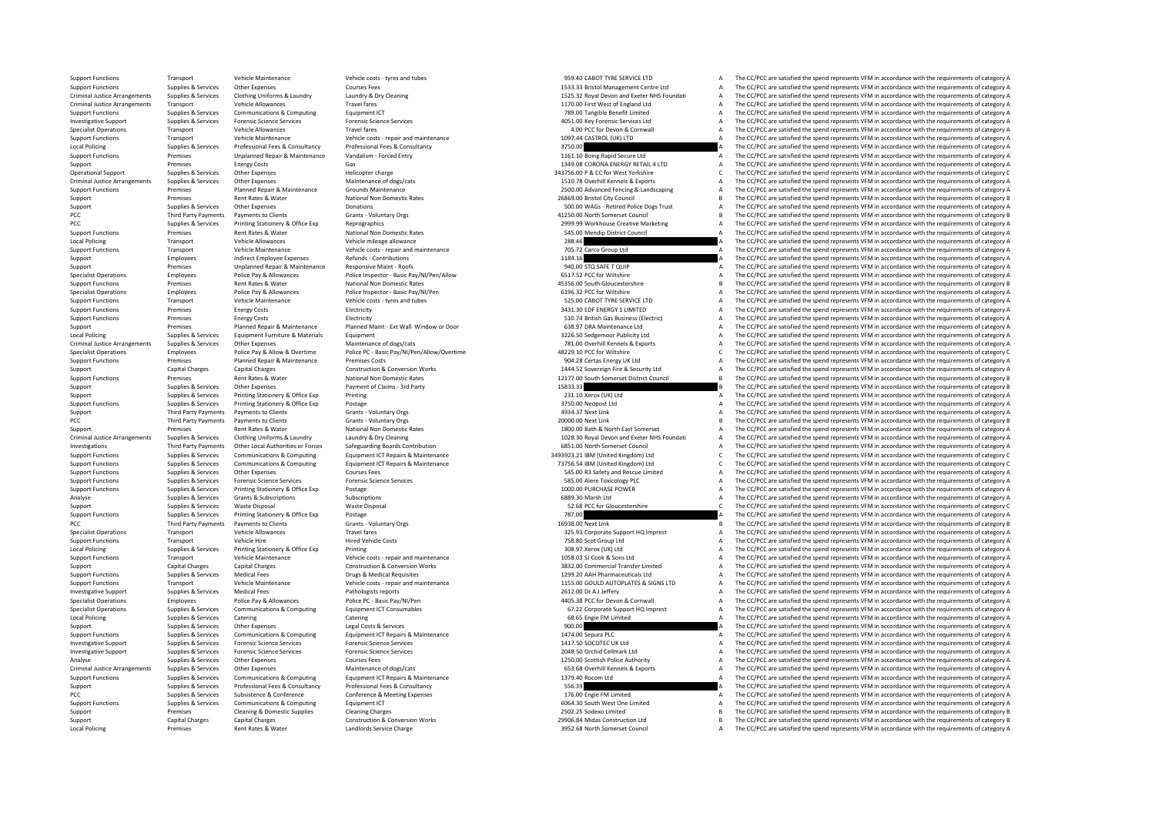Support Functions Transport Vehicle Maintenance Vehicle costs - tyres and tubes vers and tubes 959.40 CABOT TYRE SERVICE LTD A The CC/PCC are satisfied the spend represents VFM in accordance with the requirements of catego Support Functions Supplies & Services Other Expenses Courses Fees Courses Fees Courses Fees 1533.33 Bristol Management Centre Ltd A The CC/PCC are satisfied the spend represents VFM in accordance with the requirements of c The CC/PCC are satisfied the spend represents VFM in accordance with the requirements of category A Criminal Justice Arrangements Transport Vehicle Allowances Travel fares Travel fares Travel fares Travel fares Travel fares Travel fares Travel fares Travel fares Travel fares Travel fares Travel fares Travel fares Travel Support Functions Support Functions Communications & Computing Faulthouse Equipment ICT 789.00 Tangible Benefit Limited A The CC/PCC are satisfied the spend represents VFM in accordance with the requirements of category A Investigative Sunnort Sunnies & Services Forensic Science Services Forensic Science Services Forensic Science Services Forensic Science Services enters of category A 4051.00 Key Forensic Services Itd A The CC/PCC are satis Specialist Operations Transport Vehicle Allowances Travel fares Travel fares Travel fares Travel fares Travel fares Travel fares Travel fares and maintenance and the cornwall A The CC/PCC are satisfied the spend represents Support Functions Transport Vehicle Maintenance Vehicle costs - repair and maintenance Vehicle costs - repair and maintenance 1097.44 CASTROL (UK) LTD A The CC/PCC are satisfied the spend represents VFM in accordance with The CC/PCC are satisfied the spend represents VFM in accordance with the requirements of category A Support Functions Premises Unplanned Repair & Maintenance Vandalism ‐ Forced Entry 1161.10 Boing Rapid Secure Ltd A The CC/PCC are satisfied the spend represents VFM in accordance with the requirements of category A Support Premises Energy Costs Gas Gas Gas CORONA ENERGY RETAIL 4 LTD A The CC/PCC are satisfied the spend represents VFM in accordance with the requirements of category A Category A Category A Category A Category A Categor Operational Support Supplies & Services Other Expenses Helicopter charge Helicopter charge 343756.00 P & CC for West Yorkshire C The CC/PCC are satisfied the spend represents VFM in accordance with the requirements of cate Other Expenses Maintenance of dogs/cats Maintenance of dogs/cats and the main of the main of the main of the main of the main of the main of the main of the main of the main of the main of the main of the main of the main Support Functions Premises Planned Repair & Maintenance Grounds Maintenance Crounds Maintenance Crounds Maintenance<br>2019 A Support Functional Premises Rent Rates Repair and Mational Non Domestic Rates 2000 Advanced Packed Experiment Premises Premises Anatomy Premises Rent Rates Rent Rates Premises Premises Rent Rates 26869.00 Bristol City Council B The CC/PCC are satisfied the spend represents VFM in accordance with the requirements of cate Supplies & Services Other Expenses Donations Donations Support Support A The CC/PCC are satisfied the spend represents VFM in accordance with the requirements of category A PCC Third Party Payments Payments Documents of Clients Grants - Voluntary Orgs Grants - Voluntary Orgs 41250.00 North Somerset Council B The CC/PCC are satisfied the spend represents VFM in accordance with the requirement PCC Supplies & Supplies Printing Stationery & Office Exp Reprographics 2000 and a 2000 and a The CC/PCC are satisfied the spend represents VFM in accordance with the requirements of category A Support Functions Support Fremises Rent Rates Rent Rates Rent Rational Non Domestic Rates National Non Domestic Rates Support Functional A The CC/PCC are satisfied the spend represents VFM in accordance with the requiremen Local Policing 2001 Transport Vehicle Allowances Vehicle mileage allowance Vehicle mileage allowance Vehicle mileage allowance 288.46 A The CC/PCC are satisfied the spend represents VFM in accordance with the requirements Transport Vehicle Maintenance Vehicle costs ‐ repair and maintenance 705.72 Carco Group Ltd A The CC/PCC are satisfied the spend represents VFM in accordance with the requirements of category A The CO/PCC are satisfied the Support Employees Indirect Employee Expenses Refunds Contributions and the contributions 1184.16 A The CC/PCC are satisfied the spend represents VFM in accordance with the requirements of category A Support Premises Unplanned Repair & Maintenance Responsive Maint - Roofs Responsive Maint - Roofs 940.00 STQ SAFET QUIP A The CC/PCC are satisfied the spend represents VFM in accordance with the requirements of category A Specialist Operations Employees Police Pay & Allowances Police Inspector - Basic Pay/NI/Pen/Allow<br>Sunnort Functions Premises Rent Bates & Water National Non Domestic Pates National Non Domestic Pates National Non Domestic Support Functions Premiers Additional Non-Domestic Rates And Domestic Rates Associates Associates Associates and the requirements of category B The CC/PCC are satisfied the spend represents VFM in accordance with the requi Specialist Operations Employees Police Pay & Allowances Police Inspector - Basic Pay/NI/Pen 6196.32 PCC for Wiltshire A The CC/PCC are satisfied the spend represents VFM in accordance with the requirements of category A Th Support Functions Transport Vehicle Maintenance Vehicle costs - tyres and tubes 525.00 CABOT TYRE SERVICE LTD A The CC/PCC are satisfied the spend represents VFM in accordance with the requirements of category A The Crimin  $\Delta$  The CC/PCC are satisfied the spend represents VFM in accordance with the requirements of category  $\Delta$ Support Functions Premises Energy Costs Electricity Electricity Electricity Electricity Electricity Support Electricity Support Electricity Support Electricity and the COPCC are satisfied the spend represents VFM in accord Support Premises Planned Repair & Maintenance Planned Maint - Ext Wall Window or Door 638.97 DRA Maintenance Ltd A The CC/PCC are satisfied the spend represents VFM in accordance with the requirements of category A Ltd A Equipment Equipment Furniture and Supplies A Supplies and Materials Equipment Fund and Supplies and The CC/PCC are satisfied the spend represents VFM in accordance with the requirements of category A Criminal lustice Arangements Sunnies & Services Char Creative Char Charles Charles Maintenance of dosclosts Maintenance of dosclosts a case of the COPC are satisfied the spend represents VFM in arcordance with the requirem Specialist Operations Employees Police Pay & Allow & Overtime Police PC - Basic Pay/NI/Pen/Allow/Overtime <a>
Police Pay & Allow & Overtime Police PC - Basic Pay/NI/Pen/Allow/Overtime 48229.10 PCC for Wiltshire C. The CC/P Support Functions Premises Planned Repair & Maintenance Premises Costs Premises Costs Premises Costs Premises Costs Premises Costs 904.28 Certas Energy UK Ltd A The CC/PCC are satisfied the spend represents VFM in accordan Support Capital Charges Capital Charges Capital Charges Construction & Conversion Works 1444.52 Sovereign Fire & Security Ltd A The CC/PCC are satisfied the spend represents VFM in accordance with the requirements of categ Support Functions Premises Rent Rates Rent Rates Rent Rates National Non Domestic Rates National Non Domestic Rates 12177.00 South Somerset District Council B The CC/PCC are satisfied the spend represents VFM in accordance The CC/PCC are satisfied the spend represents VFM in accordance with the requirements of category B Support Supplies & Services Printing Stationery & Office Exp Printing 231.10 Xerox 231.10 Xerox (UK) Ltd A The CC/PCC are satisfied the spend represents VFM in accordance with the requirements of category A The Criminal Su Support Functions Supplies Bervices Printing Stationery & Office Exp Postage 376 A The CC/PCC are statisfied the spend represent Center Statisfied the Services A The CC/PCC are satisfied the spend represents VFM in accorda Support Third Party Payments Payments Occurs Support Cartics Clients Grants - Voluntary Orgs Grants - Voluntary Orgs 4934.37 Next Link A The CC/PCC are satisfied the spend represents VFM in accordance with the requirements PCC Third Party Payments Payments Octients Grants - Voluntary Orgs Crants - Voluntary Orgs 2000.00 Next Link 2000.00 Next Link B The CC/PCC are satisfied the spend represents VFM in accordance with the requirements of cate Support Premises Rent Rates & Water National Non Domestic Rates National Non Domestic Rates 1800.00 Bath & North East Somerset A The CC/PCC are satisfied the spend represents VFM in accordance with the requirements of cate The CC/PCC are satisfied the spend represents VFM in accordance with the requirements of category A Investigations Third Party Payments Other Local Authorities or Forces Safeguarding Boards Contribution 6851.00 North Somerset Council <sup>A</sup> The CC/PCC are satisfied the spend represents VFM in accordance with the requirements of category A Supplies & Services Communications & Computing Equipment ICT Repairs & Maintenance and advantage and the COPCC are satisfied the spend represents VFM in accordance with the requirements of category C<br>Supplies & Services Co Supplies & Services Communications & Computing Equipment ICT Repairs & Maintenance Maintenance 73756.54 IBM (United Kingdom) Ltd C The CC/PCC are satisfied the spend represents VFM in accordance with the requirements of ca Support Functions Supplies & Services Other Expenses Courses Fees Courses Fees Services Courses Fees 545.00 RS Safety and Rescue Limited A The CC/PCC are satisfied the spend represents VFM in accordance with the requiremen Support Functions Supplies & Services Forensic Science Services Forensic Science Services Forensic Science Services Forensic Science Services Forensic Science Services Supplies & Services Printing Stategory A The CC/PCC ar Postage **Supplies A Support Functions Supplies A Service Exp** Printing State Expenditus A The CC/PCC are satisfied the spend represents VFM in accordance with the requirements of category A Analyse Supplies & Services Grants & Subscriptions Subscriptions Subscriptions Subscriptions Subscriptions Subscriptions and the COMEC are satisfied the spend represents VFM in accordance with the requirements of category Support Supplies & Services Waste Disposal Waste Disposal Waste Disposal Waste Disposal Waste Disposal Support<br>
Support Functions Supplies & Services Printing Stationery & Office Exp Postage Postage Material Postage Postag Supplies & Services Printing Stationery & Office Exp Postage 787.00 A The CC/PCC are satisfied the spend represents VFM in accordance with the requirements of category A PCC Third Party Payments Payments to Clients Scratts Voluntary Orgs 16938.00 Next Link 16938.00 Next Link B The CC/PCC are satisfied the spend represents VFM in accordance with the requirements of category B Specialist Operations Transport Specialist Operations Transport Vehicle Allowances Travel fares Transport Transport A The CC/PCC are satisfied the spend represents VFM in accordance with the requirements of category A Supp Support Functions Transport Transport Transport Transport Transport Transport Vehicle A The Correct A The Correct A The Correct A The Correct A The Correct A The Correct VFM in accordance with the requirements of category Local Policing Supplies Services Printing Stationery & Office Exp Printing Stationery A Office Exp Printing 308.97 Xerox (UK) Ltd A The CC/PCC are satisfied the spend represents VFM in accordance with the requirements of c Support Functions Transport Vehicle Maintenance Vehicle costs - repair and maintenance Vehicle costs - repair and maintenance 1058.03 SJ Cook & Sons Ltd A The CC/PCC are satisfied the spend represents VFM in accordance wit The CC/PCC are satisfied the spend represents VFM in accordance with the requirements of category A Support Functions Supplies & Services Medical Fees Drugs & Medical Requisites Drugs & Medical Requisites 1299.20 AAH Pharmaceuticals Ltd A The CC/PCC are satisfied the spend represents VFM in accordance with the requiremen Support Functions Transport Vehicle Maintenance Vehicle costs - regair and maintenance Check and and maintenance vehicle costs - regair and maintenance and the SCOULD AUTOPLATES & SIGNS LTD A The CC/PCC are satisfied the s Investigative Support Supplies & Services Medical Fees Pathologists reports Pathologists reports Pathologists reports 2612.00 Dr A Jeffery A The CC/PCC are satisfied the spend represents VFM in accordance with the requirem Specialist Operations Employees Police Pay & Allowances Police PC ‐ Basic Pay/NI/Pen 4405.38 PCC for Devon & Cornwall A The CC/PCC are satisfied the spend represents VFM in accordance with the requirements of category A Sp Specialist Operations Supplies & Services Communications & Computing Equipment ICT Consumables (Consumables of the CONSULTATION ON SALES ON SALES ON SALES ON SALES ON SALES OF THE COPIC are satisfied the spend represents V The CC/PCC are satisfied the spend represents VFM in accordance with the requirements of category A Supplies & Services Other Expenses Legal Costs & Services Person and the Support of the CC/PCC are satisfied the spend represents VFM in accordance with the requirements of category A The CC/PCC are satisfied the spend rep Support Functions Supplies & Services Communications & Computing Equipment ICT Repairs A Maintenance 1474.00 Sepura PLC A The CC/PCC are satisfied the spend represents VFM in accordance with the requirements of category A Investigative Support Supplies & Services Forensic Science Services Forensic Science Services Forensic Science Services Forensic Science Services Forensic Science Services Forensic Science Services and the CONSCORE CONSCOR Investigative Support Supplies & Services Forensic Science Services Forensic Science Services Processic Science Services Processic Science Services and Supplies & Services Forensic Science Services Forensic Science Service Analyse Supplies Services Other Expenses Courses Fees Courses Fees Courses Fees 1250.00 Scottish Police Authority A The CC/PCC are satisfied the spend represents VFM in accordance with the requirements of category A Crimin Maintenance of dogs/cats<br>
Equipment ICT People of the Sea of People of the Sea of People of the Sea of People of the Sea of People of the Sea of the Sea of the Sea of the Sea of the Sea of the Sea of the Sea of the Sea of Support Functions Supplies & Services Communications & Computing Equipment ICT Repairs & Maintenance 1379.40 Rocom Ltd A The CC/PCC are satisfied the spend represents VFM in accordance with the requirements of category A Support Supplies & Services Professional Fees & Consultancy Professional Fees & Consultancy Support Support Support The CC/PCC are satisfied the spend represents VFM in accordance with the requirements of category A The CC PCC Supplies & Services Subsistence & Conference Conference & Meeting Expenses and the Conference of Conference & Meeting Expenses 176.00 Engie FM Limited A The CC/PCC are satisfied the spend represents VFM in accordance w Support Functions Supplies & Services Communications & Computing Equipment ICT Computing Computing Equipment ICT Computing Computing Computing Computing Computing Computing Computing Computing Computing Chang Chang Chang C Support Premises Cleaning & Domestic Supplies Cleaning Charges Cleaning Charges Cleaning Charges Cleaning Charges Cleaning Charges Cleaning Charges Cleaning Charges Cleaning Charges Controllon Controllon Support 29906.84 M Support Capital Charges Capital Charges Capital Charges Construction & Construction & Conversion Works 29906.84 Midas Construction Ltd B The CC/PCC are satisfied the spend represents VFM in accordance with the requirements The CC/PCC are satisfied the spend represents VFM in accordance with the requirements of category A